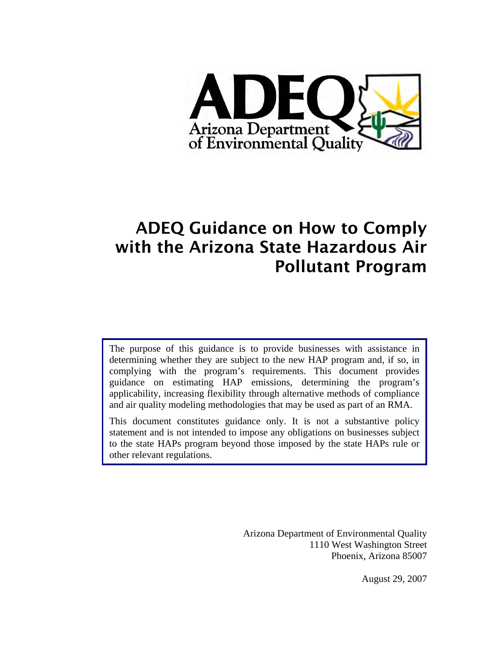

# ADEQ Guidance on How to Comply with the Arizona State Hazardous Air Pollutant Program

The purpose of this guidance is to provide businesses with assistance in determining whether they are subject to the new HAP program and, if so, in complying with the program's requirements. This document provides guidance on estimating HAP emissions, determining the program's applicability, increasing flexibility through alternative methods of compliance and air quality modeling methodologies that may be used as part of an RMA.

This document constitutes guidance only. It is not a substantive policy statement and is not intended to impose any obligations on businesses subject to the state HAPs program beyond those imposed by the state HAPs rule or other relevant regulations.

> Arizona Department of Environmental Quality 1110 West Washington Street Phoenix, Arizona 85007

> > August 29, 2007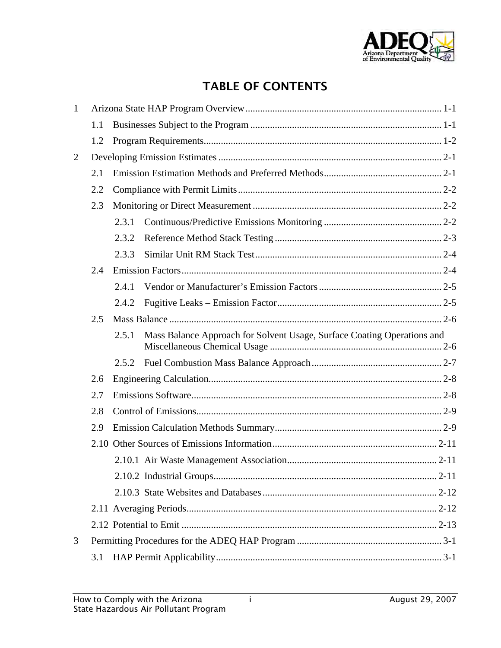

# TABLE OF CONTENTS

| $\mathbf{1}$ |     |       |                                                                         |  |
|--------------|-----|-------|-------------------------------------------------------------------------|--|
|              | 1.1 |       |                                                                         |  |
|              | 1.2 |       |                                                                         |  |
| 2            |     |       |                                                                         |  |
|              | 2.1 |       |                                                                         |  |
|              | 2.2 |       |                                                                         |  |
|              | 2.3 |       |                                                                         |  |
|              |     | 2.3.1 |                                                                         |  |
|              |     | 2.3.2 |                                                                         |  |
|              |     | 2.3.3 |                                                                         |  |
|              | 2.4 |       |                                                                         |  |
|              |     | 2.4.1 |                                                                         |  |
|              |     | 2.4.2 |                                                                         |  |
|              | 2.5 |       |                                                                         |  |
|              |     | 2.5.1 | Mass Balance Approach for Solvent Usage, Surface Coating Operations and |  |
|              |     | 2.5.2 |                                                                         |  |
|              | 2.6 |       |                                                                         |  |
|              | 2.7 |       |                                                                         |  |
|              | 2.8 |       |                                                                         |  |
|              | 2.9 |       |                                                                         |  |
|              |     |       |                                                                         |  |
|              |     |       |                                                                         |  |
|              |     |       |                                                                         |  |
|              |     |       |                                                                         |  |
|              |     |       |                                                                         |  |
|              |     |       |                                                                         |  |
| 3            |     |       |                                                                         |  |
|              | 3.1 |       |                                                                         |  |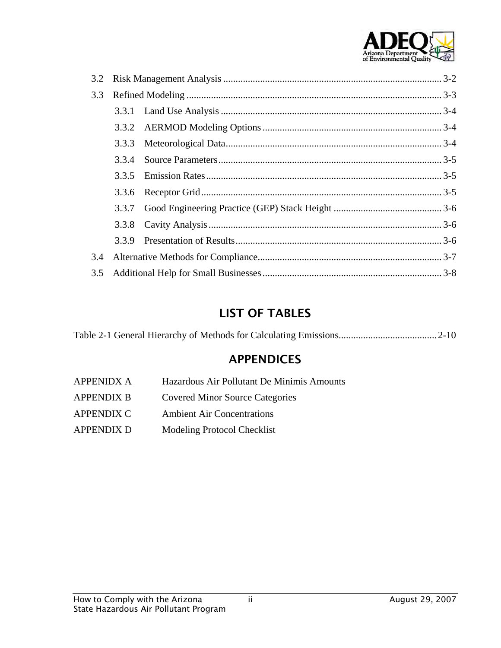

| 3.2 |       |  |  |  |
|-----|-------|--|--|--|
| 3.3 |       |  |  |  |
|     |       |  |  |  |
|     |       |  |  |  |
|     | 3.3.3 |  |  |  |
|     | 3.3.4 |  |  |  |
|     | 3.3.5 |  |  |  |
|     | 3.3.6 |  |  |  |
|     |       |  |  |  |
|     |       |  |  |  |
|     |       |  |  |  |
| 3.4 |       |  |  |  |
| 3.5 |       |  |  |  |

## LIST OF TABLES

### APPENDICES

- [APPENIDX A Hazardous Air Pollutant De Minimis Amounts](#page-29-0)  APPENDIX B Covered Minor Source Categories
- [APPENDIX C Ambient Air Concentrations](#page-33-0)
- [APPENDIX D Modeling Protocol Checklist](#page-37-0)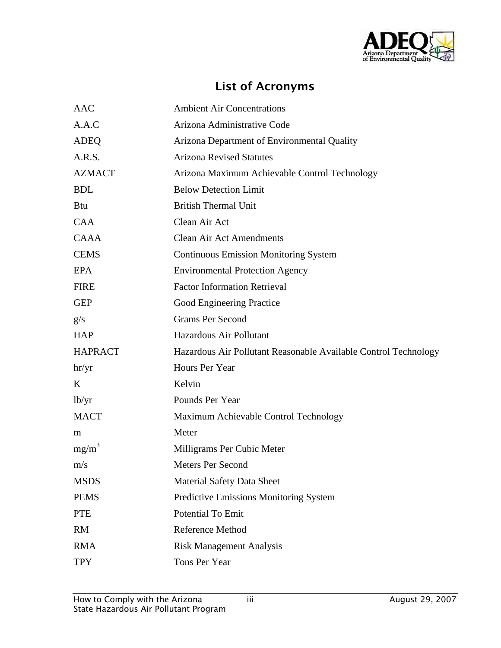

# List of Acronyms

| <b>AAC</b>     | <b>Ambient Air Concentrations</b>                               |
|----------------|-----------------------------------------------------------------|
| A.A.C          | Arizona Administrative Code                                     |
| <b>ADEQ</b>    | Arizona Department of Environmental Quality                     |
| A.R.S.         | <b>Arizona Revised Statutes</b>                                 |
| <b>AZMACT</b>  | Arizona Maximum Achievable Control Technology                   |
| <b>BDL</b>     | <b>Below Detection Limit</b>                                    |
| <b>Btu</b>     | <b>British Thermal Unit</b>                                     |
| <b>CAA</b>     | Clean Air Act                                                   |
| <b>CAAA</b>    | <b>Clean Air Act Amendments</b>                                 |
| <b>CEMS</b>    | <b>Continuous Emission Monitoring System</b>                    |
| <b>EPA</b>     | <b>Environmental Protection Agency</b>                          |
| <b>FIRE</b>    | <b>Factor Information Retrieval</b>                             |
| <b>GEP</b>     | Good Engineering Practice                                       |
| g/s            | <b>Grams Per Second</b>                                         |
| <b>HAP</b>     | Hazardous Air Pollutant                                         |
| <b>HAPRACT</b> | Hazardous Air Pollutant Reasonable Available Control Technology |
| hr/yr          | Hours Per Year                                                  |
| K              | Kelvin                                                          |
| lb/yr          | Pounds Per Year                                                 |
| <b>MACT</b>    | Maximum Achievable Control Technology                           |
| m              | Meter                                                           |
| $mg/m^3$       | Milligrams Per Cubic Meter                                      |
| m/s            | <b>Meters Per Second</b>                                        |
| <b>MSDS</b>    | <b>Material Safety Data Sheet</b>                               |
| <b>PEMS</b>    | <b>Predictive Emissions Monitoring System</b>                   |
| <b>PTE</b>     | Potential To Emit                                               |
| <b>RM</b>      | <b>Reference Method</b>                                         |
| <b>RMA</b>     | <b>Risk Management Analysis</b>                                 |
| <b>TPY</b>     | Tons Per Year                                                   |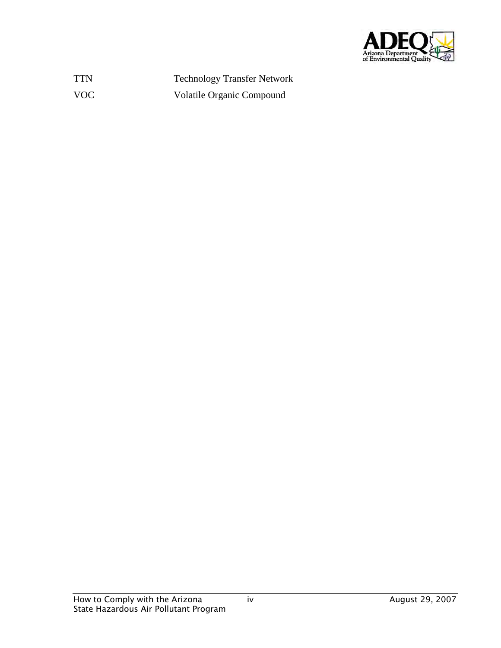

TTN Technology Transfer Network VOC Volatile Organic Compound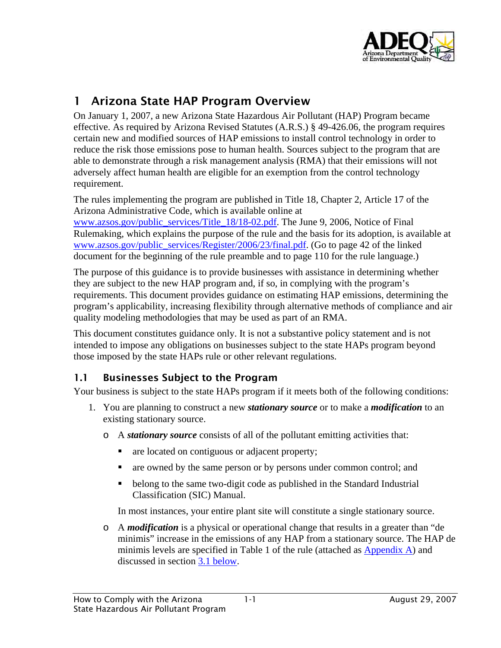

# <span id="page-5-0"></span>1 Arizona State HAP Program Overview

On January 1, 2007, a new Arizona State Hazardous Air Pollutant (HAP) Program became effective. As required by Arizona Revised Statutes (A.R.S.) § 49-426.06, the program requires certain new and modified sources of HAP emissions to install control technology in order to reduce the risk those emissions pose to human health. Sources subject to the program that are able to demonstrate through a risk management analysis (RMA) that their emissions will not adversely affect human health are eligible for an exemption from the control technology requirement.

The rules implementing the program are published in Title 18, Chapter 2, Article 17 of the Arizona Administrative Code, which is available online at [www.azsos.gov/public\\_services/Title\\_18/18-02.pdf](http://www.azsos.gov/public_services/Title_18/18-02.pdf). The June 9, 2006, Notice of Final Rulemaking, which explains the purpose of the rule and the basis for its adoption, is available at [www.azsos.gov/public\\_services/Register/2006/23/final.pdf](http://www.azsos.gov/public_services/Register/2006/23/final.pdf). (Go to page 42 of the linked document for the beginning of the rule preamble and to page 110 for the rule language.)

The purpose of this guidance is to provide businesses with assistance in determining whether they are subject to the new HAP program and, if so, in complying with the program's requirements. This document provides guidance on estimating HAP emissions, determining the program's applicability, increasing flexibility through alternative methods of compliance and air quality modeling methodologies that may be used as part of an RMA.

This document constitutes guidance only. It is not a substantive policy statement and is not intended to impose any obligations on businesses subject to the state HAPs program beyond those imposed by the state HAPs rule or other relevant regulations.

#### 1.1 Businesses Subject to the Program

Your business is subject to the state HAPs program if it meets both of the following conditions:

- 1. You are planning to construct a new *stationary source* or to make a *modification* to an existing stationary source.
	- o A *stationary source* consists of all of the pollutant emitting activities that:
		- are located on contiguous or adjacent property;
		- are owned by the same person or by persons under common control; and
		- belong to the same two-digit code as published in the Standard Industrial Classification (SIC) Manual.

In most instances, your entire plant site will constitute a single stationary source.

o A *modification* is a physical or operational change that results in a greater than "de minimis" increase in the emissions of any HAP from a stationary source. The HAP de minimis levels are specified in Table 1 of the rule (attached as [Appendix A\)](#page-29-0) and discussed in section [3.1 below.](#page-21-1)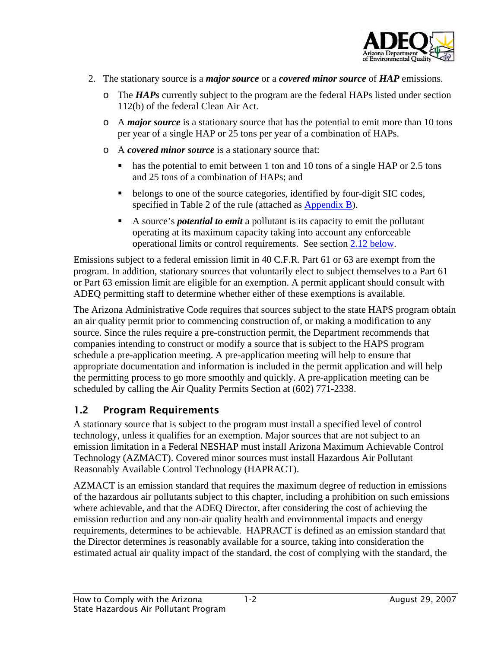

- <span id="page-6-0"></span>2. The stationary source is a *major source* or a *covered minor source* of *HAP* emissions.
	- o The *HAPs* currently subject to the program are the federal HAPs listed under section 112(b) of the federal Clean Air Act.
	- o A *major source* is a stationary source that has the potential to emit more than 10 tons per year of a single HAP or 25 tons per year of a combination of HAPs.
	- o A *covered minor source* is a stationary source that:
		- has the potential to emit between 1 ton and 10 tons of a single HAP or 2.5 tons and 25 tons of a combination of HAPs; and
		- belongs to one of the source categories, identified by four-digit SIC codes, specified in Table 2 of the rule (attached as [Appendix B\)](#page-32-0).
		- A source's *potential to emit* a pollutant is its capacity to emit the pollutant operating at its maximum capacity taking into account any enforceable operational limits or control requirements. See section [2.12 below.](#page-20-1)

Emissions subject to a federal emission limit in 40 C.F.R. Part 61 or 63 are exempt from the program. In addition, stationary sources that voluntarily elect to subject themselves to a Part 61 or Part 63 emission limit are eligible for an exemption. A permit applicant should consult with ADEQ permitting staff to determine whether either of these exemptions is available.

The Arizona Administrative Code requires that sources subject to the state HAPS program obtain an air quality permit prior to commencing construction of, or making a modification to any source. Since the rules require a pre-construction permit, the Department recommends that companies intending to construct or modify a source that is subject to the HAPS program schedule a pre-application meeting. A pre-application meeting will help to ensure that appropriate documentation and information is included in the permit application and will help the permitting process to go more smoothly and quickly. A pre-application meeting can be scheduled by calling the Air Quality Permits Section at (602) 771-2338.

#### 1.2 Program Requirements

A stationary source that is subject to the program must install a specified level of control technology, unless it qualifies for an exemption. Major sources that are not subject to an emission limitation in a Federal NESHAP must install Arizona Maximum Achievable Control Technology (AZMACT). Covered minor sources must install Hazardous Air Pollutant Reasonably Available Control Technology (HAPRACT).

AZMACT is an emission standard that requires the maximum degree of reduction in emissions of the hazardous air pollutants subject to this chapter, including a prohibition on such emissions where achievable, and that the ADEQ Director, after considering the cost of achieving the emission reduction and any non-air quality health and environmental impacts and energy requirements, determines to be achievable. HAPRACT is defined as an emission standard that the Director determines is reasonably available for a source, taking into consideration the estimated actual air quality impact of the standard, the cost of complying with the standard, the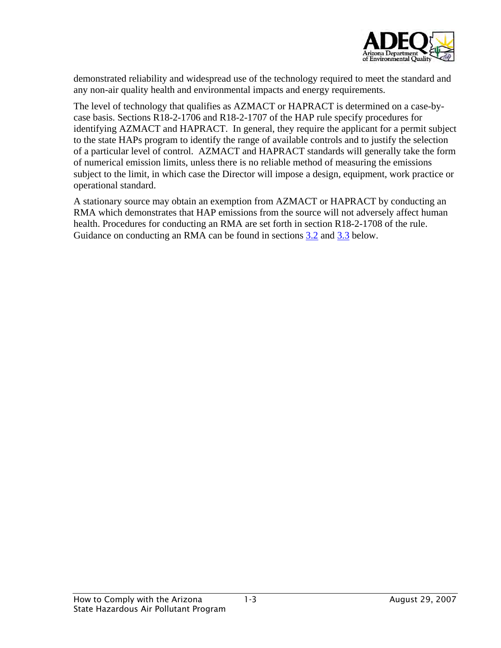

demonstrated reliability and widespread use of the technology required to meet the standard and any non-air quality health and environmental impacts and energy requirements.

The level of technology that qualifies as AZMACT or HAPRACT is determined on a case-bycase basis. Sections R18-2-1706 and R18-2-1707 of the HAP rule specify procedures for identifying AZMACT and HAPRACT. In general, they require the applicant for a permit subject to the state HAPs program to identify the range of available controls and to justify the selection of a particular level of control. AZMACT and HAPRACT standards will generally take the form of numerical emission limits, unless there is no reliable method of measuring the emissions subject to the limit, in which case the Director will impose a design, equipment, work practice or operational standard.

A stationary source may obtain an exemption from AZMACT or HAPRACT by conducting an RMA which demonstrates that HAP emissions from the source will not adversely affect human health. Procedures for conducting an RMA are set forth in section R18-2-1708 of the rule. Guidance on conducting an RMA can be found in sections [3.2](#page-22-1) and [3.3](#page-23-1) below.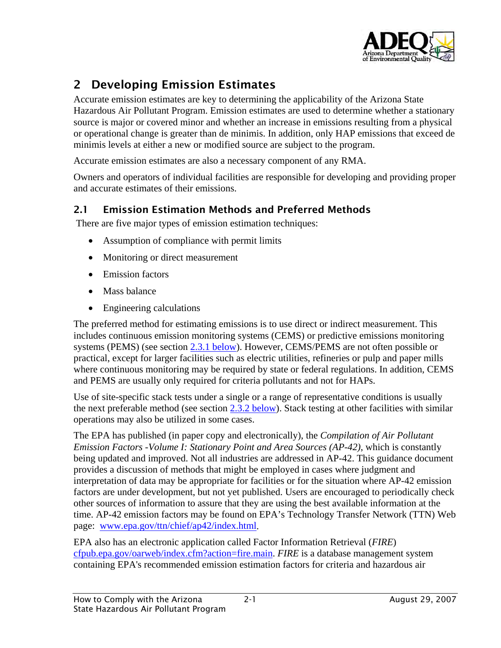

# <span id="page-8-0"></span>2 Developing Emission Estimates

Accurate emission estimates are key to determining the applicability of the Arizona State Hazardous Air Pollutant Program. Emission estimates are used to determine whether a stationary source is major or covered minor and whether an increase in emissions resulting from a physical or operational change is greater than de minimis. In addition, only HAP emissions that exceed de minimis levels at either a new or modified source are subject to the program.

Accurate emission estimates are also a necessary component of any RMA.

Owners and operators of individual facilities are responsible for developing and providing proper and accurate estimates of their emissions.

### 2.1 Emission Estimation Methods and Preferred Methods

There are five major types of emission estimation techniques:

- Assumption of compliance with permit limits
- Monitoring or direct measurement
- Emission factors
- Mass balance
- Engineering calculations

The preferred method for estimating emissions is to use direct or indirect measurement. This includes continuous emission monitoring systems (CEMS) or predictive emissions monitoring systems (PEMS) (see section [2.3.1 below\)](#page-9-1). However, CEMS/PEMS are not often possible or practical, except for larger facilities such as electric utilities, refineries or pulp and paper mills where continuous monitoring may be required by state or federal regulations. In addition, CEMS and PEMS are usually only required for criteria pollutants and not for HAPs.

Use of site-specific stack tests under a single or a range of representative conditions is usually the next preferable method (see section [2.3.2 below\)](#page-10-1). Stack testing at other facilities with similar operations may also be utilized in some cases.

The EPA has published (in paper copy and electronically), the *Compilation of Air Pollutant Emission Factors -Volume I: Stationary Point and Area Sources (AP-42)*, which is constantly being updated and improved. Not all industries are addressed in AP-42. This guidance document provides a discussion of methods that might be employed in cases where judgment and interpretation of data may be appropriate for facilities or for the situation where AP-42 emission factors are under development, but not yet published. Users are encouraged to periodically check other sources of information to assure that they are using the best available information at the time. AP-42 emission factors may be found on EPA's Technology Transfer Network (TTN) Web page: [www.epa.gov/ttn/chief/ap42/index.html.](http://www.epa.gov/ttn/chief/ap42/index.html)

EPA also has an electronic application called Factor Information Retrieval (*FIRE*) [cfpub.epa.gov/oarweb/index.cfm?action=fire.main](http://cfpub.epa.gov/oarweb/index.cfm?action=fire.main). *FIRE* is a database management system containing EPA's recommended emission estimation factors for criteria and hazardous air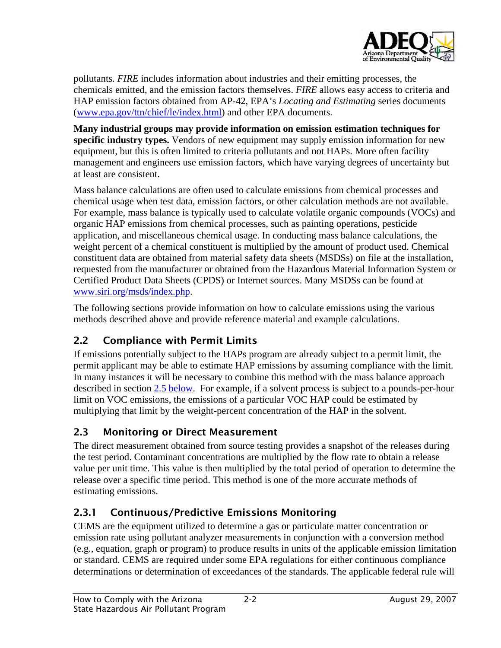

<span id="page-9-0"></span>pollutants. *FIRE* includes information about industries and their emitting processes, the chemicals emitted, and the emission factors themselves. *FIRE* allows easy access to criteria and HAP emission factors obtained from AP-42, EPA's *Locating and Estimating* series documents ([www.epa.gov/ttn/chief/le/index.html\)](http://www.epa.gov/ttn/chief/le/index.html) and other EPA documents.

**Many industrial groups may provide information on emission estimation techniques for specific industry types.** Vendors of new equipment may supply emission information for new equipment, but this is often limited to criteria pollutants and not HAPs. More often facility management and engineers use emission factors, which have varying degrees of uncertainty but at least are consistent.

Mass balance calculations are often used to calculate emissions from chemical processes and chemical usage when test data, emission factors, or other calculation methods are not available. For example, mass balance is typically used to calculate volatile organic compounds (VOCs) and organic HAP emissions from chemical processes, such as painting operations, pesticide application, and miscellaneous chemical usage. In conducting mass balance calculations, the weight percent of a chemical constituent is multiplied by the amount of product used. Chemical constituent data are obtained from material safety data sheets (MSDSs) on file at the installation, requested from the manufacturer or obtained from the Hazardous Material Information System or Certified Product Data Sheets (CPDS) or Internet sources. Many MSDSs can be found at [www.siri.org/msds/index.php](http://www.siri.org/msds/index.php).

The following sections provide information on how to calculate emissions using the various methods described above and provide reference material and example calculations.

### 2.2 Compliance with Permit Limits

If emissions potentially subject to the HAPs program are already subject to a permit limit, the permit applicant may be able to estimate HAP emissions by assuming compliance with the limit. In many instances it will be necessary to combine this method with the mass balance approach described in section [2.5 below.](#page-13-1) For example, if a solvent process is subject to a pounds-per-hour limit on VOC emissions, the emissions of a particular VOC HAP could be estimated by multiplying that limit by the weight-percent concentration of the HAP in the solvent.

### 2.3 Monitoring or Direct Measurement

The direct measurement obtained from source testing provides a snapshot of the releases during the test period. Contaminant concentrations are multiplied by the flow rate to obtain a release value per unit time. This value is then multiplied by the total period of operation to determine the release over a specific time period. This method is one of the more accurate methods of estimating emissions.

### <span id="page-9-1"></span>2.3.1 Continuous/Predictive Emissions Monitoring

CEMS are the equipment utilized to determine a gas or particulate matter concentration or emission rate using pollutant analyzer measurements in conjunction with a conversion method (e.g., equation, graph or program) to produce results in units of the applicable emission limitation or standard. CEMS are required under some EPA regulations for either continuous compliance determinations or determination of exceedances of the standards. The applicable federal rule will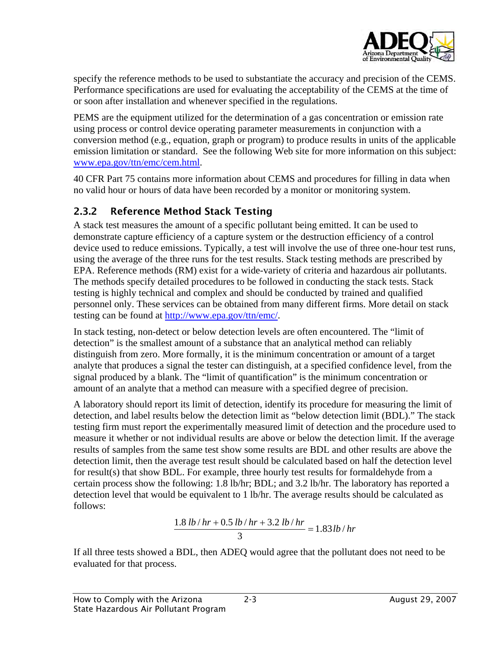

<span id="page-10-0"></span>specify the reference methods to be used to substantiate the accuracy and precision of the CEMS. Performance specifications are used for evaluating the acceptability of the CEMS at the time of or soon after installation and whenever specified in the regulations.

PEMS are the equipment utilized for the determination of a gas concentration or emission rate using process or control device operating parameter measurements in conjunction with a conversion method (e.g., equation, graph or program) to produce results in units of the applicable emission limitation or standard. See the following Web site for more information on this subject: [www.epa.gov/ttn/emc/cem.html](http://www.epa.gov/ttn/emc/cem.html).

40 CFR Part 75 contains more information about CEMS and procedures for filling in data when no valid hour or hours of data have been recorded by a monitor or monitoring system.

### <span id="page-10-1"></span>2.3.2 Reference Method Stack Testing

A stack test measures the amount of a specific pollutant being emitted. It can be used to demonstrate capture efficiency of a capture system or the destruction efficiency of a control device used to reduce emissions. Typically, a test will involve the use of three one-hour test runs, using the average of the three runs for the test results. Stack testing methods are prescribed by EPA. Reference methods (RM) exist for a wide-variety of criteria and hazardous air pollutants. The methods specify detailed procedures to be followed in conducting the stack tests. Stack testing is highly technical and complex and should be conducted by trained and qualified personnel only. These services can be obtained from many different firms. More detail on stack testing can be found at [http://www.epa.gov/ttn/emc/.](http://www.epa.gov/ttn/emc/)

In stack testing, non-detect or below detection levels are often encountered. The "limit of detection" is the smallest amount of a substance that an analytical method can reliably distinguish from zero. More formally, it is the minimum concentration or amount of a target analyte that produces a signal the tester can distinguish, at a specified confidence level, from the signal produced by a blank. The "limit of quantification" is the minimum concentration or amount of an analyte that a method can measure with a specified degree of precision.

A laboratory should report its limit of detection, identify its procedure for measuring the limit of detection, and label results below the detection limit as "below detection limit (BDL)." The stack testing firm must report the experimentally measured limit of detection and the procedure used to measure it whether or not individual results are above or below the detection limit. If the average results of samples from the same test show some results are BDL and other results are above the detection limit, then the average test result should be calculated based on half the detection level for result(s) that show BDL. For example, three hourly test results for formaldehyde from a certain process show the following: 1.8 lb/hr; BDL; and 3.2 lb/hr. The laboratory has reported a detection level that would be equivalent to 1 lb/hr. The average results should be calculated as follows:

$$
\frac{1.8 \, lb/hr + 0.5 \, lb/hr + 3.2 \, lb/hr}{3} = 1.83 \, lb/hr
$$

If all three tests showed a BDL, then ADEQ would agree that the pollutant does not need to be evaluated for that process.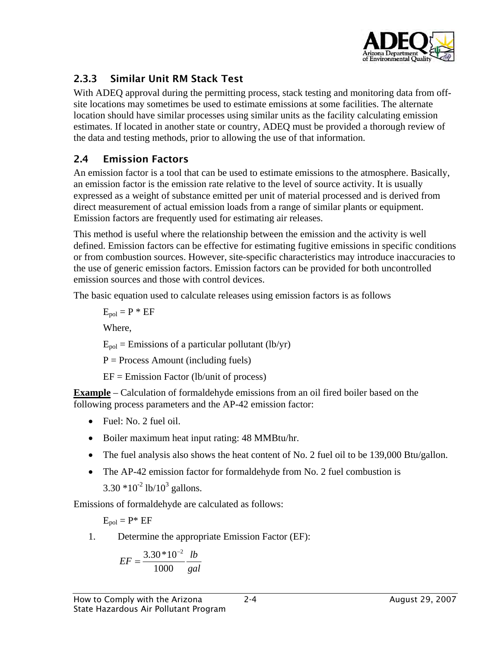

### <span id="page-11-0"></span>2.3.3 Similar Unit RM Stack Test

With ADEQ approval during the permitting process, stack testing and monitoring data from offsite locations may sometimes be used to estimate emissions at some facilities. The alternate location should have similar processes using similar units as the facility calculating emission estimates. If located in another state or country, ADEQ must be provided a thorough review of the data and testing methods, prior to allowing the use of that information.

#### 2.4 Emission Factors

An emission factor is a tool that can be used to estimate emissions to the atmosphere. Basically, an emission factor is the emission rate relative to the level of source activity. It is usually expressed as a weight of substance emitted per unit of material processed and is derived from direct measurement of actual emission loads from a range of similar plants or equipment. Emission factors are frequently used for estimating air releases.

This method is useful where the relationship between the emission and the activity is well defined. Emission factors can be effective for estimating fugitive emissions in specific conditions or from combustion sources. However, site-specific characteristics may introduce inaccuracies to the use of generic emission factors. Emission factors can be provided for both uncontrolled emission sources and those with control devices.

The basic equation used to calculate releases using emission factors is as follows

 $E_{pol} = P * EF$ Where,  $E_{pol}$  = Emissions of a particular pollutant (lb/yr)  $P = Process$  Amount (including fuels) EF = Emission Factor (lb/unit of process)

**Example** – Calculation of formaldehyde emissions from an oil fired boiler based on the following process parameters and the AP-42 emission factor:

- Fuel: No. 2 fuel oil.
- Boiler maximum heat input rating: 48 MMBtu/hr.
- The fuel analysis also shows the heat content of No. 2 fuel oil to be 139,000 Btu/gallon.
- The AP-42 emission factor for formaldehyde from No. 2 fuel combustion is  $3.30 * 10^{-2}$  lb/ $10^{3}$  gallons.

Emissions of formaldehyde are calculated as follows:

 $E_{\text{pol}} = P^* E$ F

1. Determine the appropriate Emission Factor (EF):

$$
EF = \frac{3.30 * 10^{-2}}{1000} \frac{lb}{gal}
$$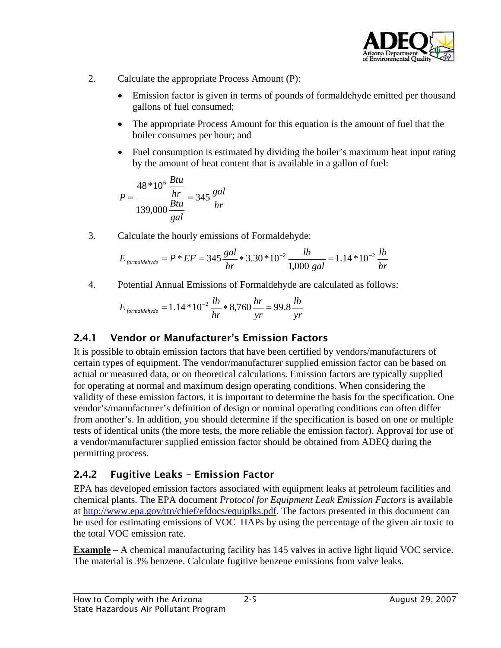

- <span id="page-12-0"></span>2. Calculate the appropriate Process Amount (P):
	- Emission factor is given in terms of pounds of formaldehyde emitted per thousand gallons of fuel consumed;
	- The appropriate Process Amount for this equation is the amount of fuel that the boiler consumes per hour; and
	- Fuel consumption is estimated by dividing the boiler's maximum heat input rating by the amount of heat content that is available in a gallon of fuel:

$$
P = \frac{48 * 10^6 \frac{Btu}{hr}}{139,000 \frac{Btu}{gal}} = 345 \frac{gal}{hr}
$$

3. Calculate the hourly emissions of Formaldehyde:

$$
E_{\text{formaldehyde}} = P * EF = 345 \frac{\text{gal}}{hr} * 3.30 * 10^{-2} \frac{\text{lb}}{1,000 \text{ gal}} = 1.14 * 10^{-2} \frac{\text{lb}}{hr}
$$

4. Potential Annual Emissions of Formaldehyde are calculated as follows:

$$
E_{\text{formaldehyde}} = 1.14 * 10^{-2} \frac{lb}{hr} * 8,760 \frac{hr}{yr} = 99.8 \frac{lb}{yr}
$$

#### 2.4.1 Vendor or Manufacturer's Emission Factors

It is possible to obtain emission factors that have been certified by vendors/manufacturers of certain types of equipment. The vendor/manufacturer supplied emission factor can be based on actual or measured data, or on theoretical calculations. Emission factors are typically supplied for operating at normal and maximum design operating conditions. When considering the validity of these emission factors, it is important to determine the basis for the specification. One vendor's/manufacturer's definition of design or nominal operating conditions can often differ from another's. In addition, you should determine if the specification is based on one or multiple tests of identical units (the more tests, the more reliable the emission factor). Approval for use of a vendor/manufacturer supplied emission factor should be obtained from ADEQ during the permitting process.

#### 2.4.2 Fugitive Leaks – Emission Factor

EPA has developed emission factors associated with equipment leaks at petroleum facilities and chemical plants. The EPA document *Protocol for Equipment Leak Emission Factors* is available at [http://www.epa.gov/ttn/chief/efdocs/equiplks.pdf.](http://www.epa.gov/ttn/chief/efdocs/equiplks.pdf) The factors presented in this document can be used for estimating emissions of VOC HAPs by using the percentage of the given air toxic to the total VOC emission rate.

**Example** – A chemical manufacturing facility has 145 valves in active light liquid VOC service. The material is 3% benzene. Calculate fugitive benzene emissions from valve leaks.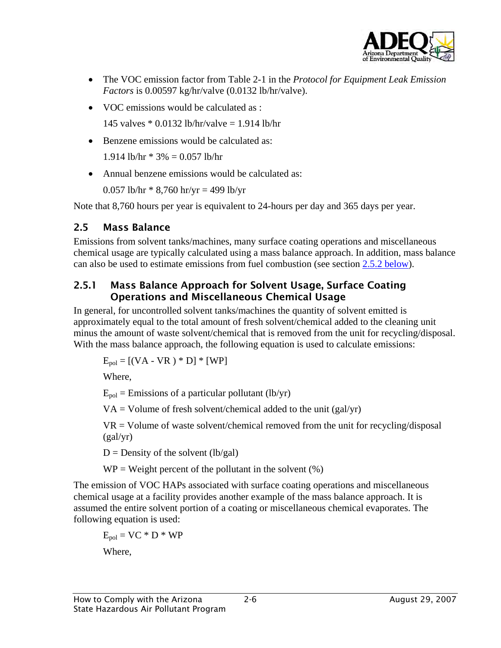

- <span id="page-13-0"></span>• The VOC emission factor from Table 2-1 in the *Protocol for Equipment Leak Emission Factors* is 0.00597 kg/hr/valve (0.0132 lb/hr/valve).
- VOC emissions would be calculated as :

145 valves \* 0.0132 lb/hr/valve = 1.914 lb/hr

• Benzene emissions would be calculated as:

1.914 lb/hr  $* 3\% = 0.057$  lb/hr

• Annual benzene emissions would be calculated as:

0.057 lb/hr  $*$  8,760 hr/yr = 499 lb/yr

Note that 8,760 hours per year is equivalent to 24-hours per day and 365 days per year.

#### 2.5 Mass Balance

<span id="page-13-1"></span>Emissions from solvent tanks/machines, many surface coating operations and miscellaneous chemical usage are typically calculated using a mass balance approach. In addition, mass balance can also be used to estimate emissions from fuel combustion (see section [2.5.2 below\)](#page-14-1).

#### 2.5.1 Mass Balance Approach for Solvent Usage, Surface Coating Operations and Miscellaneous Chemical Usage

In general, for uncontrolled solvent tanks/machines the quantity of solvent emitted is approximately equal to the total amount of fresh solvent/chemical added to the cleaning unit minus the amount of waste solvent/chemical that is removed from the unit for recycling/disposal. With the mass balance approach, the following equation is used to calculate emissions:

 $E_{pol} = [(VA - VR) * D] * [WP]$ 

Where,

 $E_{pol}$  = Emissions of a particular pollutant (lb/yr)

 $VA = Volume$  of fresh solvent/chemical added to the unit (gal/yr)

 $VR = Volume$  of waste solvent/chemical removed from the unit for recycling/disposal (gal/yr)

 $D =$  Density of the solvent (lb/gal)

 $WP = Weight$  percent of the pollutant in the solvent  $(\%)$ 

The emission of VOC HAPs associated with surface coating operations and miscellaneous chemical usage at a facility provides another example of the mass balance approach. It is assumed the entire solvent portion of a coating or miscellaneous chemical evaporates. The following equation is used:

 $E_{pol} = VC * D * WP$ 

Where,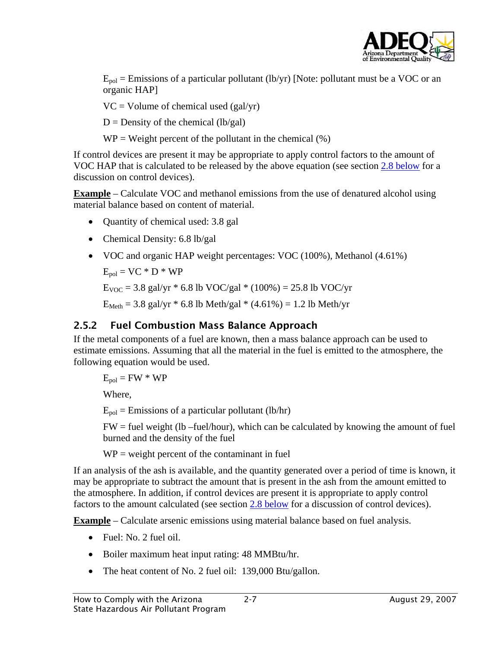

<span id="page-14-0"></span> $E_{\text{pol}}$  = Emissions of a particular pollutant (lb/yr) [Note: pollutant must be a VOC or an organic HAP]

 $VC = Volume of chemical used (gal/yr)$ 

 $D =$  Density of the chemical (lb/gal)

 $WP = Weight$  percent of the pollutant in the chemical  $(\%)$ 

If control devices are present it may be appropriate to apply control factors to the amount of VOC HAP that is calculated to be released by the above equation (see section [2.8 below](#page-16-1) for a discussion on control devices).

**Example** – Calculate VOC and methanol emissions from the use of denatured alcohol using material balance based on content of material.

- Quantity of chemical used: 3.8 gal
- Chemical Density: 6.8 lb/gal
- VOC and organic HAP weight percentages: VOC (100%), Methanol (4.61%)

 $E_{\text{pol}} = VC * D * WP$ 

 $E_{VOC} = 3.8$  gal/yr  $* 6.8$  lb VOC/gal  $* (100\%) = 25.8$  lb VOC/yr

 $E_{\text{Meth}} = 3.8$  gal/yr  $* 6.8$  lb Meth/gal  $* (4.61\%) = 1.2$  lb Meth/yr

#### <span id="page-14-1"></span>2.5.2 Fuel Combustion Mass Balance Approach

If the metal components of a fuel are known, then a mass balance approach can be used to estimate emissions. Assuming that all the material in the fuel is emitted to the atmosphere, the following equation would be used.

 $E_{\text{pol}} = FW * WP$ 

Where,

 $E_{pol}$  = Emissions of a particular pollutant (lb/hr)

 $FW = fuel$  weight (lb –fuel/hour), which can be calculated by knowing the amount of fuel burned and the density of the fuel

 $WP = weight$  percent of the contaminant in fuel

If an analysis of the ash is available, and the quantity generated over a period of time is known, it may be appropriate to subtract the amount that is present in the ash from the amount emitted to the atmosphere. In addition, if control devices are present it is appropriate to apply control factors to the amount calculated (see section [2.8 below](#page-16-1) for a discussion of control devices).

**Example** – Calculate arsenic emissions using material balance based on fuel analysis.

- Fuel: No. 2 fuel oil.
- Boiler maximum heat input rating: 48 MMBtu/hr.
- The heat content of No. 2 fuel oil: 139,000 Btu/gallon.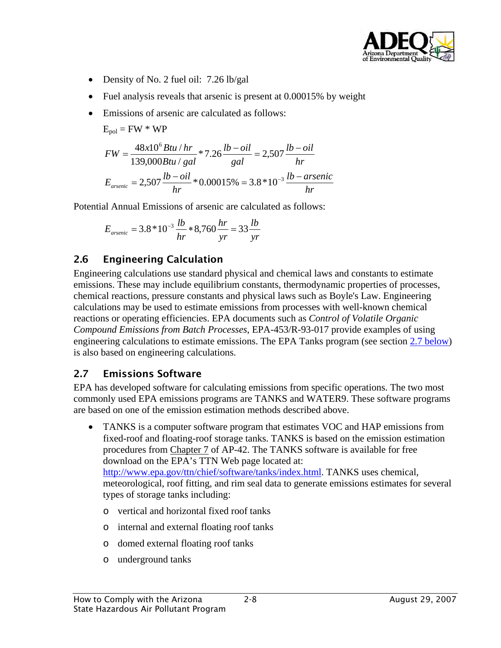

- <span id="page-15-0"></span>• Density of No. 2 fuel oil: 7.26 lb/gal
- Fuel analysis reveals that arsenic is present at 0.00015% by weight
- Emissions of arsenic are calculated as follows:

$$
E_{pol} = FW * WP
$$

$$
FW = \frac{48x10^{6} Btu/hr}{139,000 Btu/gal} * 7.26 \frac{lb-oil}{gal} = 2,507 \frac{lb-oil}{hr}
$$

$$
E_{\text{arsenic}} = 2,507 \frac{lb-oil}{hr} * 0.00015\% = 3.8 * 10^{-3} \frac{lb - \text{arsenic}}{hr}
$$

Potential Annual Emissions of arsenic are calculated as follows:

$$
E_{\text{arsenic}} = 3.8 * 10^{-3} \frac{lb}{hr} * 8,760 \frac{hr}{yr} = 33 \frac{lb}{yr}
$$

### 2.6 Engineering Calculation

Engineering calculations use standard physical and chemical laws and constants to estimate emissions. These may include equilibrium constants, thermodynamic properties of processes, chemical reactions, pressure constants and physical laws such as Boyle's Law. Engineering calculations may be used to estimate emissions from processes with well-known chemical reactions or operating efficiencies. EPA documents such as *Control of Volatile Organic Compound Emissions from Batch Processes*, EPA-453/R-93-017 provide examples of using engineering calculations to estimate emissions. The EPA Tanks program (see section [2.7 below\)](#page-15-1) is also based on engineering calculations.

#### <span id="page-15-1"></span>2.7 Emissions Software

EPA has developed software for calculating emissions from specific operations. The two most commonly used EPA emissions programs are TANKS and WATER9. These software programs are based on one of the emission estimation methods described above.

- TANKS is a computer software program that estimates VOC and HAP emissions from fixed-roof and floating-roof storage tanks. TANKS is based on the emission estimation procedures from [Chapter 7](http://www.epa.gov/ttn/chief/ap42/ch07/index.html) of AP-42. The TANKS software is available for free download on the EPA's TTN Web page located at: [http://www.epa.gov/ttn/chief/software/tanks/index.html.](http://www.epa.gov/ttn/chief/software/tanks/index.html) TANKS uses chemical, meteorological, roof fitting, and rim seal data to generate emissions estimates for several types of storage tanks including:
	- o vertical and horizontal fixed roof tanks
	- o internal and external floating roof tanks
	- o domed external floating roof tanks
	- o underground tanks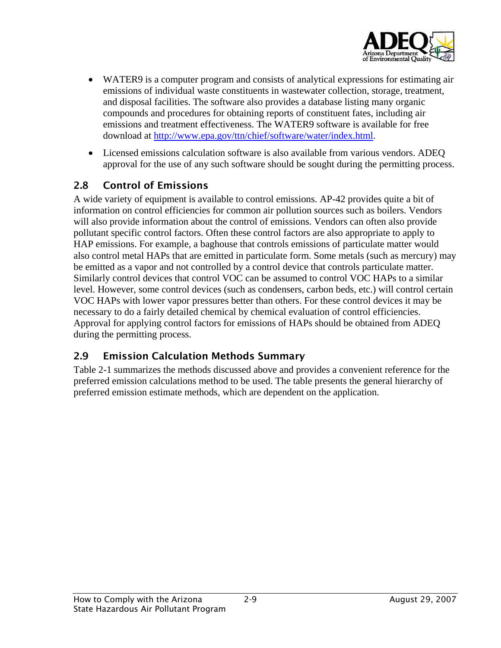

- <span id="page-16-0"></span>• WATER9 is a computer program and consists of analytical expressions for estimating air emissions of individual waste constituents in wastewater collection, storage, treatment, and disposal facilities. The software also provides a database listing many organic compounds and procedures for obtaining reports of constituent fates, including air emissions and treatment effectiveness. The WATER9 software is available for free download at <http://www.epa.gov/ttn/chief/software/water/index.html>.
- Licensed emissions calculation software is also available from various vendors. ADEQ approval for the use of any such software should be sought during the permitting process.

#### 2.8 Control of Emissions

<span id="page-16-1"></span>A wide variety of equipment is available to control emissions. AP-42 provides quite a bit of information on control efficiencies for common air pollution sources such as boilers. Vendors will also provide information about the control of emissions. Vendors can often also provide pollutant specific control factors. Often these control factors are also appropriate to apply to HAP emissions. For example, a baghouse that controls emissions of particulate matter would also control metal HAPs that are emitted in particulate form. Some metals (such as mercury) may be emitted as a vapor and not controlled by a control device that controls particulate matter. Similarly control devices that control VOC can be assumed to control VOC HAPs to a similar level. However, some control devices (such as condensers, carbon beds, etc.) will control certain VOC HAPs with lower vapor pressures better than others. For these control devices it may be necessary to do a fairly detailed chemical by chemical evaluation of control efficiencies. Approval for applying control factors for emissions of HAPs should be obtained from ADEQ during the permitting process.

#### 2.9 Emission Calculation Methods Summary

Table 2-1 summarizes the methods discussed above and provides a convenient reference for the preferred emission calculations method to be used. The table presents the general hierarchy of preferred emission estimate methods, which are dependent on the application.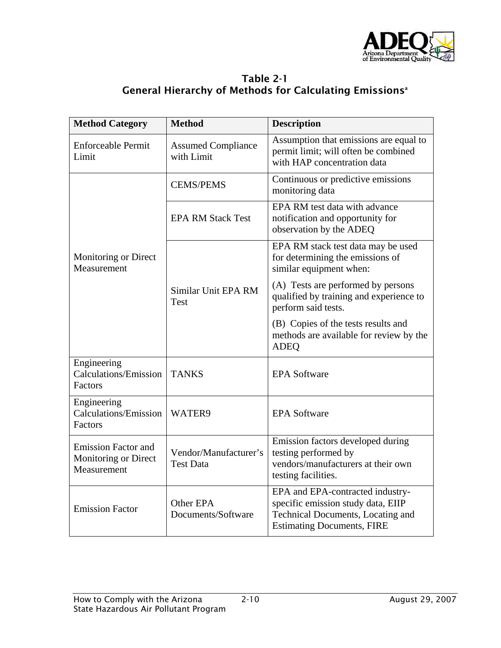

| Table 2-1                                                           |  |
|---------------------------------------------------------------------|--|
| General Hierarchy of Methods for Calculating Emissions <sup>a</sup> |  |

<span id="page-17-0"></span>

| <b>Method Category</b>                                            | <b>Method</b>                             | <b>Description</b>                                                                                                                               |  |
|-------------------------------------------------------------------|-------------------------------------------|--------------------------------------------------------------------------------------------------------------------------------------------------|--|
| <b>Enforceable Permit</b><br>Limit                                | <b>Assumed Compliance</b><br>with Limit   | Assumption that emissions are equal to<br>permit limit; will often be combined<br>with HAP concentration data                                    |  |
|                                                                   | <b>CEMS/PEMS</b>                          | Continuous or predictive emissions<br>monitoring data                                                                                            |  |
|                                                                   | <b>EPA RM Stack Test</b>                  | EPA RM test data with advance<br>notification and opportunity for<br>observation by the ADEQ                                                     |  |
| Monitoring or Direct<br>Measurement                               |                                           | EPA RM stack test data may be used<br>for determining the emissions of<br>similar equipment when:                                                |  |
|                                                                   | Similar Unit EPA RM<br>Test               | (A) Tests are performed by persons<br>qualified by training and experience to<br>perform said tests.                                             |  |
|                                                                   |                                           | (B) Copies of the tests results and<br>methods are available for review by the<br><b>ADEQ</b>                                                    |  |
| Engineering<br><b>Calculations/Emission</b><br>Factors            | <b>TANKS</b>                              | <b>EPA Software</b>                                                                                                                              |  |
| Engineering<br><b>Calculations/Emission</b><br>Factors            | WATER9                                    | <b>EPA Software</b>                                                                                                                              |  |
| <b>Emission Factor and</b><br>Monitoring or Direct<br>Measurement | Vendor/Manufacturer's<br><b>Test Data</b> | Emission factors developed during<br>testing performed by<br>vendors/manufacturers at their own<br>testing facilities.                           |  |
| <b>Emission Factor</b>                                            | Other EPA<br>Documents/Software           | EPA and EPA-contracted industry-<br>specific emission study data, EIIP<br>Technical Documents, Locating and<br><b>Estimating Documents, FIRE</b> |  |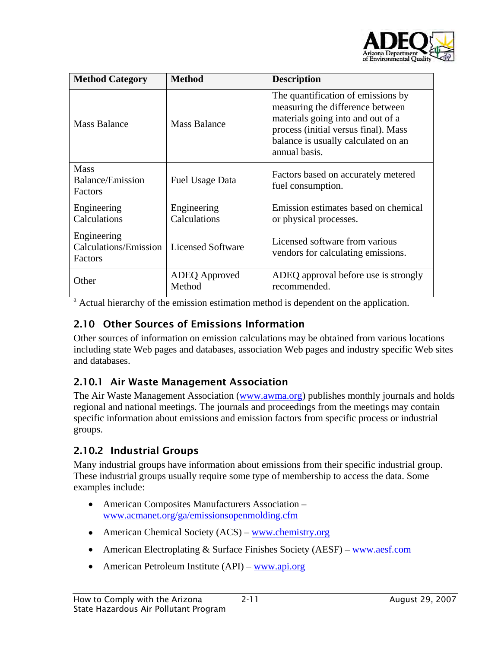

<span id="page-18-0"></span>

| <b>Method Category</b>                                   | <b>Method</b>               | <b>Description</b>                                                                                                                                                                                          |  |
|----------------------------------------------------------|-----------------------------|-------------------------------------------------------------------------------------------------------------------------------------------------------------------------------------------------------------|--|
| <b>Mass Balance</b>                                      | <b>Mass Balance</b>         | The quantification of emissions by<br>measuring the difference between<br>materials going into and out of a<br>process (initial versus final). Mass<br>balance is usually calculated on an<br>annual basis. |  |
| <b>Mass</b><br><b>Balance/Emission</b><br><b>Factors</b> | Fuel Usage Data             | Factors based on accurately metered<br>fuel consumption.                                                                                                                                                    |  |
| Engineering<br>Calculations                              | Engineering<br>Calculations | Emission estimates based on chemical<br>or physical processes.                                                                                                                                              |  |
| Engineering<br>Calculations/Emission<br>Factors          | Licensed Software           | Licensed software from various<br>vendors for calculating emissions.                                                                                                                                        |  |
| Other                                                    | ADEQ Approved<br>Method     | ADEQ approval before use is strongly<br>recommended.                                                                                                                                                        |  |

<sup>a</sup> Actual hierarchy of the emission estimation method is dependent on the application.

#### 2.10 Other Sources of Emissions Information

Other sources of information on emission calculations may be obtained from various locations including state Web pages and databases, association Web pages and industry specific Web sites and databases.

#### 2.10.1 Air Waste Management Association

The Air Waste Management Association ([www.awma.org\)](http://www.awma.org/) publishes monthly journals and holds regional and national meetings. The journals and proceedings from the meetings may contain specific information about emissions and emission factors from specific process or industrial groups.

#### 2.10.2 Industrial Groups

Many industrial groups have information about emissions from their specific industrial group. These industrial groups usually require some type of membership to access the data. Some examples include:

- American Composites Manufacturers Association [www.acmanet.org/ga/emissionsopenmolding.cfm](http://www.acmanet.org/ga/emissionsopenmolding.cfm)
- American Chemical Society (ACS) [www.chemistry.org](http://www.chemistry.org/)
- American Electroplating & Surface Finishes Society (AESF) [www.aesf.com](http://www.aesf.com/)
- American Petroleum Institute  $(API)$  www.api.org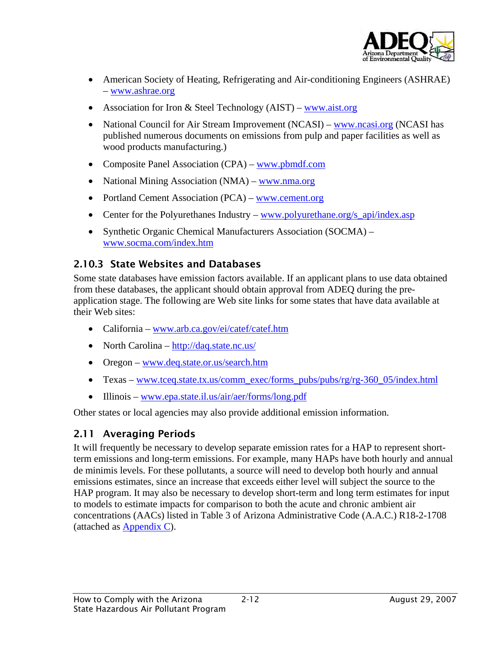![](_page_19_Picture_0.jpeg)

- <span id="page-19-0"></span>• American Society of Heating, Refrigerating and Air-conditioning Engineers (ASHRAE) – [www.ashrae.org](http://www.ashrae.org/)
- Association for Iron & Steel Technology  $(AIST)$  [www.aist.org](http://www.aist.org/)
- National Council for Air Stream Improvement (NCASI) – [www.ncasi.org](http://www.ncasi.org/) (NCASI has published numerous documents on emissions from pulp and paper facilities as well as wood products manufacturing.)
- Composite Panel Association (CPA) [www.pbmdf.com](http://www.pbmdf.com/)
- National Mining Association (NMA) – [www.nma.org](http://www.nma.org/)
- Portland Cement Association (PCA) [www.cement.org](http://www.cement.org/)
- Center for the Polyurethanes Industry [www.polyurethane.org/s\\_api/index.asp](http://www.polyurethane.org/s_api/index.asp)
- Synthetic Organic Chemical Manufacturers Association (SOCMA) [www.socma.com/index.htm](http://www.socma.com/index.htm)

#### 2.10.3 State Websites and Databases

Some state databases have emission factors available. If an applicant plans to use data obtained from these databases, the applicant should obtain approval from ADEQ during the preapplication stage. The following are Web site links for some states that have data available at their Web sites:

- California www.arb.ca.gov/ei/catef/catef.htm
- North Carolina  $\frac{http://daq.state.nc.us/}{http://daq.state.nc.us/}$
- Oregon www.deq.state.or.us/search.htm
- Texas [www.tceq.state.tx.us/comm\\_exec/forms\\_pubs/pubs/rg/rg-360\\_05/index.html](http://www.tceq.state.tx.us/comm_exec/forms_pubs/pubs/rg/rg-360_05/index.html)
- Illinois www.epa.state.il.us/air/aer/forms/long.pdf

Other states or local agencies may also provide additional emission information.

#### 2.11 Averaging Periods

It will frequently be necessary to develop separate emission rates for a HAP to represent shortterm emissions and long-term emissions. For example, many HAPs have both hourly and annual de minimis levels. For these pollutants, a source will need to develop both hourly and annual emissions estimates, since an increase that exceeds either level will subject the source to the HAP program. It may also be necessary to develop short-term and long term estimates for input to models to estimate impacts for comparison to both the acute and chronic ambient air concentrations (AACs) listed in Table 3 of Arizona Administrative Code (A.A.C.) R18-2-1708 (attached as  $\Delta$ ppendix C).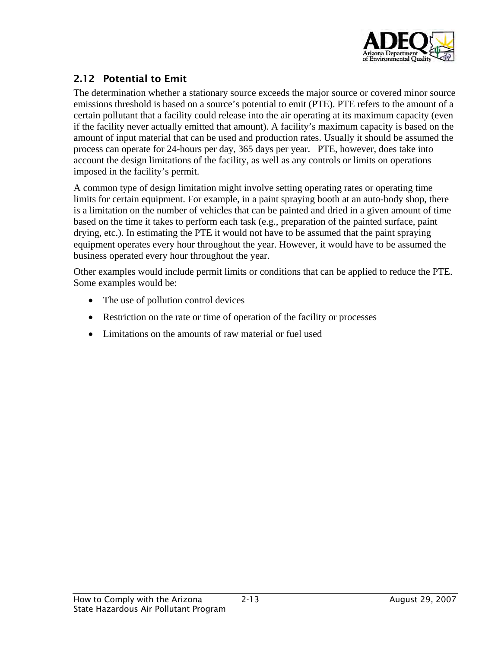![](_page_20_Picture_0.jpeg)

#### <span id="page-20-1"></span><span id="page-20-0"></span>2.12 Potential to Emit

The determination whether a stationary source exceeds the major source or covered minor source emissions threshold is based on a source's potential to emit (PTE). PTE refers to the amount of a certain pollutant that a facility could release into the air operating at its maximum capacity (even if the facility never actually emitted that amount). A facility's maximum capacity is based on the amount of input material that can be used and production rates. Usually it should be assumed the process can operate for 24-hours per day, 365 days per year. PTE, however, does take into account the design limitations of the facility, as well as any controls or limits on operations imposed in the facility's permit.

A common type of design limitation might involve setting operating rates or operating time limits for certain equipment. For example, in a paint spraying booth at an auto-body shop, there is a limitation on the number of vehicles that can be painted and dried in a given amount of time based on the time it takes to perform each task (e.g., preparation of the painted surface, paint drying, etc.). In estimating the PTE it would not have to be assumed that the paint spraying equipment operates every hour throughout the year. However, it would have to be assumed the business operated every hour throughout the year.

Other examples would include permit limits or conditions that can be applied to reduce the PTE. Some examples would be:

- The use of pollution control devices
- Restriction on the rate or time of operation of the facility or processes
- Limitations on the amounts of raw material or fuel used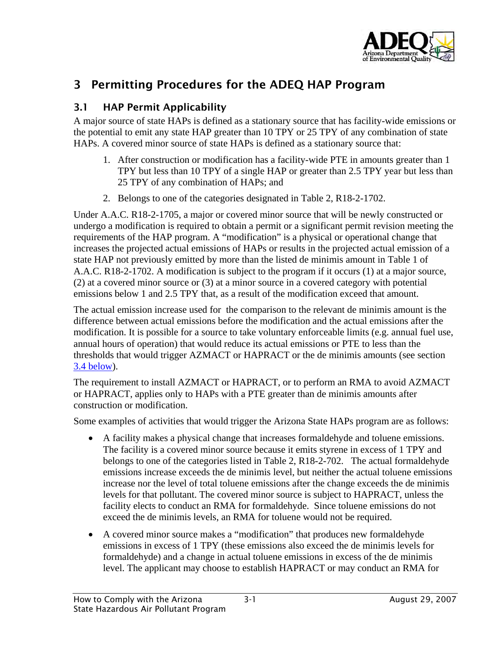![](_page_21_Picture_0.jpeg)

# <span id="page-21-0"></span>3 Permitting Procedures for the ADEQ HAP Program

#### <span id="page-21-1"></span>3.1 HAP Permit Applicability

A major source of state HAPs is defined as a stationary source that has facility-wide emissions or the potential to emit any state HAP greater than 10 TPY or 25 TPY of any combination of state HAPs. A covered minor source of state HAPs is defined as a stationary source that:

- 1. After construction or modification has a facility-wide PTE in amounts greater than 1 TPY but less than 10 TPY of a single HAP or greater than 2.5 TPY year but less than 25 TPY of any combination of HAPs; and
- 2. Belongs to one of the categories designated in Table 2, R18-2-1702.

Under A.A.C. R18-2-1705, a major or covered minor source that will be newly constructed or undergo a modification is required to obtain a permit or a significant permit revision meeting the requirements of the HAP program. A "modification" is a physical or operational change that increases the projected actual emissions of HAPs or results in the projected actual emission of a state HAP not previously emitted by more than the listed de minimis amount in Table 1 of A.A.C. R18-2-1702. A modification is subject to the program if it occurs (1) at a major source, (2) at a covered minor source or (3) at a minor source in a covered category with potential emissions below 1 and 2.5 TPY that, as a result of the modification exceed that amount.

The actual emission increase used for the comparison to the relevant de minimis amount is the difference between actual emissions before the modification and the actual emissions after the modification. It is possible for a source to take voluntary enforceable limits (e.g. annual fuel use, annual hours of operation) that would reduce its actual emissions or PTE to less than the thresholds that would trigger AZMACT or HAPRACT or the de minimis amounts (see section [3.4 below](#page-27-1)).

The requirement to install AZMACT or HAPRACT, or to perform an RMA to avoid AZMACT or HAPRACT, applies only to HAPs with a PTE greater than de minimis amounts after construction or modification.

Some examples of activities that would trigger the Arizona State HAPs program are as follows:

- A facility makes a physical change that increases formaldehyde and toluene emissions. The facility is a covered minor source because it emits styrene in excess of 1 TPY and belongs to one of the categories listed in Table 2, R18-2-702. The actual formaldehyde emissions increase exceeds the de minimis level, but neither the actual toluene emissions increase nor the level of total toluene emissions after the change exceeds the de minimis levels for that pollutant. The covered minor source is subject to HAPRACT, unless the facility elects to conduct an RMA for formaldehyde. Since toluene emissions do not exceed the de minimis levels, an RMA for toluene would not be required.
- A covered minor source makes a "modification" that produces new formaldehyde emissions in excess of 1 TPY (these emissions also exceed the de minimis levels for formaldehyde) and a change in actual toluene emissions in excess of the de minimis level. The applicant may choose to establish HAPRACT or may conduct an RMA for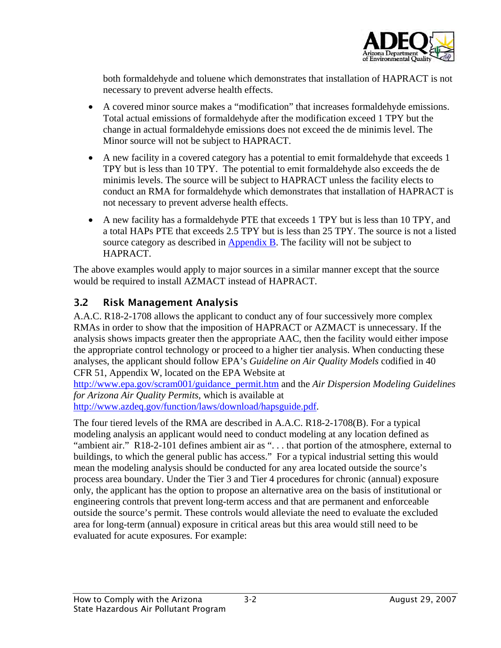![](_page_22_Picture_0.jpeg)

<span id="page-22-0"></span>both formaldehyde and toluene which demonstrates that installation of HAPRACT is not necessary to prevent adverse health effects.

- A covered minor source makes a "modification" that increases formaldehyde emissions. Total actual emissions of formaldehyde after the modification exceed 1 TPY but the change in actual formaldehyde emissions does not exceed the de minimis level. The Minor source will not be subject to HAPRACT.
- A new facility in a covered category has a potential to emit formaldehyde that exceeds 1 TPY but is less than 10 TPY. The potential to emit formaldehyde also exceeds the de minimis levels. The source will be subject to HAPRACT unless the facility elects to conduct an RMA for formaldehyde which demonstrates that installation of HAPRACT is not necessary to prevent adverse health effects.
- A new facility has a formaldehyde PTE that exceeds 1 TPY but is less than 10 TPY, and a total HAPs PTE that exceeds 2.5 TPY but is less than 25 TPY. The source is not a listed source category as described in  $\Delta$ ppendix  $\overline{B}$ . The facility will not be subject to HAPRACT.

The above examples would apply to major sources in a similar manner except that the source would be required to install AZMACT instead of HAPRACT.

#### 3.2 Risk Management Analysis

<span id="page-22-1"></span>A.A.C. R18-2-1708 allows the applicant to conduct any of four successively more complex RMAs in order to show that the imposition of HAPRACT or AZMACT is unnecessary. If the analysis shows impacts greater then the appropriate AAC, then the facility would either impose the appropriate control technology or proceed to a higher tier analysis. When conducting these analyses, the applicant should follow EPA's *Guideline on Air Quality Models* codified in 40 CFR 51, Appendix W, located on the EPA Website at

[http://www.epa.gov/scram001/guidance\\_permit.htm](http://www.epa.gov/scram001/guidance_permit.htm) and the *Air Dispersion Modeling Guidelines for Arizona Air Quality Permits,* which is available at

[http://www.azdeq.gov/function/laws/download/hapsguide.pdf.](http://www.azdeq.gov/function/laws/download/hapsguide.pdf)

The four tiered levels of the RMA are described in A.A.C. R18-2-1708(B). For a typical modeling analysis an applicant would need to conduct modeling at any location defined as "ambient air." R18-2-101 defines ambient air as "... that portion of the atmosphere, external to buildings, to which the general public has access." For a typical industrial setting this would mean the modeling analysis should be conducted for any area located outside the source's process area boundary. Under the Tier 3 and Tier 4 procedures for chronic (annual) exposure only, the applicant has the option to propose an alternative area on the basis of institutional or engineering controls that prevent long-term access and that are permanent and enforceable outside the source's permit. These controls would alleviate the need to evaluate the excluded area for long-term (annual) exposure in critical areas but this area would still need to be evaluated for acute exposures. For example: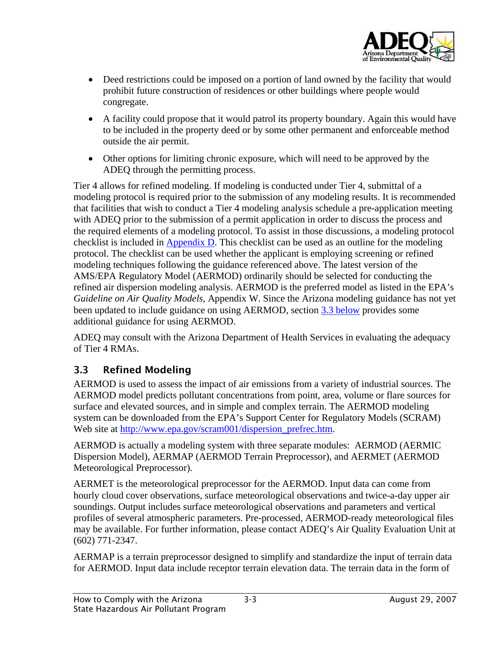![](_page_23_Picture_0.jpeg)

- <span id="page-23-0"></span>• Deed restrictions could be imposed on a portion of land owned by the facility that would prohibit future construction of residences or other buildings where people would congregate.
- A facility could propose that it would patrol its property boundary. Again this would have to be included in the property deed or by some other permanent and enforceable method outside the air permit.
- Other options for limiting chronic exposure, which will need to be approved by the ADEQ through the permitting process.

Tier 4 allows for refined modeling. If modeling is conducted under Tier 4, submittal of a modeling protocol is required prior to the submission of any modeling results. It is recommended that facilities that wish to conduct a Tier 4 modeling analysis schedule a pre-application meeting with ADEQ prior to the submission of a permit application in order to discuss the process and the required elements of a modeling protocol. To assist in those discussions, a modeling protocol checklist is included in  $\Delta$ ppendix  $D$ . This checklist can be used as an outline for the modeling protocol. The checklist can be used whether the applicant is employing screening or refined modeling techniques following the guidance referenced above. The latest version of the AMS/EPA Regulatory Model (AERMOD) ordinarily should be selected for conducting the refined air dispersion modeling analysis. AERMOD is the preferred model as listed in the EPA's *Guideline on Air Quality Models,* Appendix W. Since the Arizona modeling guidance has not yet been updated to include guidance on using AERMOD, section [3.3 below](#page-23-1) provides some additional guidance for using AERMOD.

ADEQ may consult with the Arizona Department of Health Services in evaluating the adequacy of Tier 4 RMAs.

#### <span id="page-23-1"></span>3.3 Refined Modeling

AERMOD is used to assess the impact of air emissions from a variety of industrial sources. The AERMOD model predicts pollutant concentrations from point, area, volume or flare sources for surface and elevated sources, and in simple and complex terrain. The AERMOD modeling system can be downloaded from the EPA's Support Center for Regulatory Models (SCRAM) Web site at [http://www.epa.gov/scram001/dispersion\\_prefrec.htm.](http://www.epa.gov/scram001/dispersion_prefrec.htm)

AERMOD is actually a modeling system with three separate modules: AERMOD (AERMIC Dispersion Model), AERMAP (AERMOD Terrain Preprocessor), and AERMET (AERMOD Meteorological Preprocessor).

AERMET is the meteorological preprocessor for the AERMOD. Input data can come from hourly cloud cover observations, surface meteorological observations and twice-a-day upper air soundings. Output includes surface meteorological observations and parameters and vertical profiles of several atmospheric parameters. Pre-processed, AERMOD-ready meteorological files may be available. For further information, please contact ADEQ's Air Quality Evaluation Unit at (602) 771-2347.

AERMAP is a terrain preprocessor designed to simplify and standardize the input of terrain data for AERMOD. Input data include receptor terrain elevation data. The terrain data in the form of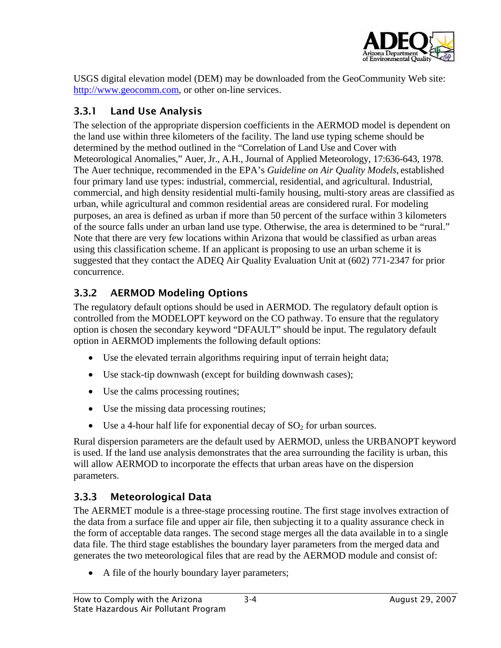![](_page_24_Picture_0.jpeg)

<span id="page-24-0"></span>USGS digital elevation model (DEM) may be downloaded from the GeoCommunity Web site: [http://www.geocomm.com,](http://www.geocomm.com/) or other on-line services.

#### 3.3.1 Land Use Analysis

The selection of the appropriate dispersion coefficients in the AERMOD model is dependent on the land use within three kilometers of the facility. The land use typing scheme should be determined by the method outlined in the "Correlation of Land Use and Cover with Meteorological Anomalies," Auer, Jr., A.H., Journal of Applied Meteorology, 17:636-643, 1978. The Auer technique, recommended in the EPA's *Guideline on Air Quality Models*, established four primary land use types: industrial, commercial, residential, and agricultural. Industrial, commercial, and high density residential multi-family housing, multi-story areas are classified as urban, while agricultural and common residential areas are considered rural. For modeling purposes, an area is defined as urban if more than 50 percent of the surface within 3 kilometers of the source falls under an urban land use type. Otherwise, the area is determined to be "rural." Note that there are very few locations within Arizona that would be classified as urban areas using this classification scheme. If an applicant is proposing to use an urban scheme it is suggested that they contact the ADEQ Air Quality Evaluation Unit at (602) 771-2347 for prior concurrence.

### 3.3.2 AERMOD Modeling Options

The regulatory default options should be used in AERMOD. The regulatory default option is controlled from the MODELOPT keyword on the CO pathway. To ensure that the regulatory option is chosen the secondary keyword "DFAULT" should be input. The regulatory default option in AERMOD implements the following default options:

- Use the elevated terrain algorithms requiring input of terrain height data;
- Use stack-tip downwash (except for building downwash cases);
- Use the calms processing routines;
- Use the missing data processing routines;
- Use a 4-hour half life for exponential decay of  $SO<sub>2</sub>$  for urban sources.

Rural dispersion parameters are the default used by AERMOD, unless the URBANOPT keyword is used. If the land use analysis demonstrates that the area surrounding the facility is urban, this will allow AERMOD to incorporate the effects that urban areas have on the dispersion parameters.

### 3.3.3 Meteorological Data

The AERMET module is a three-stage processing routine. The first stage involves extraction of the data from a surface file and upper air file, then subjecting it to a quality assurance check in the form of acceptable data ranges. The second stage merges all the data available in to a single data file. The third stage establishes the boundary layer parameters from the merged data and generates the two meteorological files that are read by the AERMOD module and consist of:

• A file of the hourly boundary layer parameters;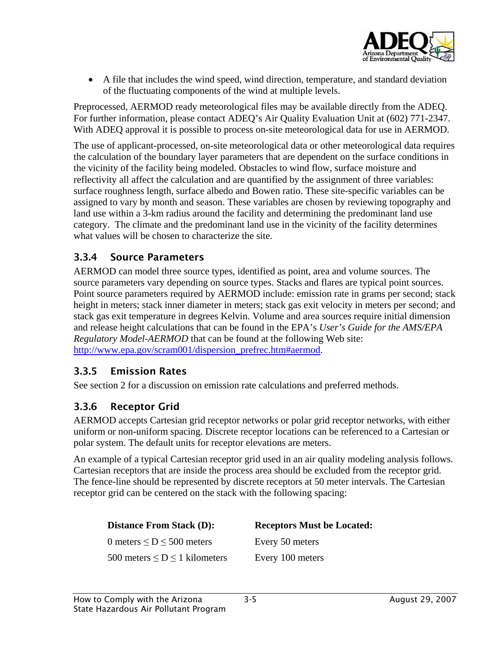![](_page_25_Picture_0.jpeg)

<span id="page-25-0"></span>• A file that includes the wind speed, wind direction, temperature, and standard deviation of the fluctuating components of the wind at multiple levels.

Preprocessed, AERMOD ready meteorological files may be available directly from the ADEQ. For further information, please contact ADEQ's Air Quality Evaluation Unit at (602) 771-2347. With ADEQ approval it is possible to process on-site meteorological data for use in AERMOD.

The use of applicant-processed, on-site meteorological data or other meteorological data requires the calculation of the boundary layer parameters that are dependent on the surface conditions in the vicinity of the facility being modeled. Obstacles to wind flow, surface moisture and reflectivity all affect the calculation and are quantified by the assignment of three variables: surface roughness length, surface albedo and Bowen ratio. These site-specific variables can be assigned to vary by month and season. These variables are chosen by reviewing topography and land use within a 3-km radius around the facility and determining the predominant land use category. The climate and the predominant land use in the vicinity of the facility determines what values will be chosen to characterize the site.

#### 3.3.4 Source Parameters

AERMOD can model three source types, identified as point, area and volume sources. The source parameters vary depending on source types. Stacks and flares are typical point sources. Point source parameters required by AERMOD include: emission rate in grams per second; stack height in meters; stack inner diameter in meters; stack gas exit velocity in meters per second; and stack gas exit temperature in degrees Kelvin. Volume and area sources require initial dimension and release height calculations that can be found in the EPA's *User's Guide for the AMS/EPA Regulatory Model-AERMOD* that can be found at the following Web site: [http://www.epa.gov/scram001/dispersion\\_prefrec.htm#aermod.](http://www.epa.gov/scram001/dispersion_prefrec.htm#aermod)

#### 3.3.5 Emission Rates

See section 2 for a discussion on emission rate calculations and preferred methods.

#### 3.3.6 Receptor Grid

AERMOD accepts Cartesian grid receptor networks or polar grid receptor networks, with either uniform or non-uniform spacing. Discrete receptor locations can be referenced to a Cartesian or polar system. The default units for receptor elevations are meters.

An example of a typical Cartesian receptor grid used in an air quality modeling analysis follows. Cartesian receptors that are inside the process area should be excluded from the receptor grid. The fence-line should be represented by discrete receptors at 50 meter intervals. The Cartesian receptor grid can be centered on the stack with the following spacing:

| <b>Distance From Stack (D):</b>       | <b>Receptors Must be Located:</b> |
|---------------------------------------|-----------------------------------|
| 0 meters $\leq$ D $\leq$ 500 meters   | Every 50 meters                   |
| 500 meters $\leq D \leq 1$ kilometers | Every 100 meters                  |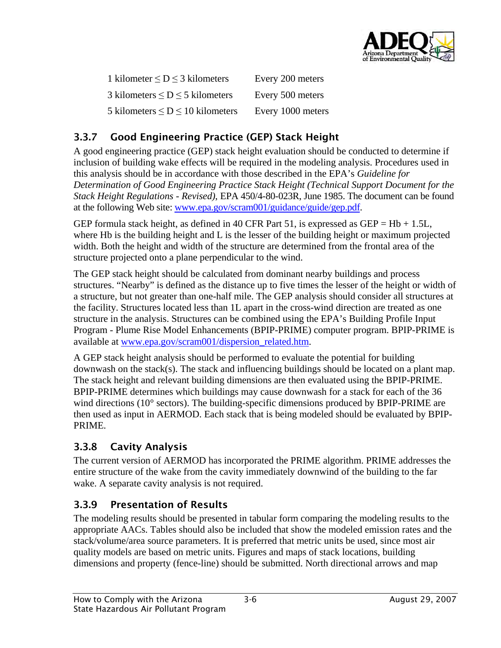![](_page_26_Picture_0.jpeg)

<span id="page-26-0"></span>

| 1 kilometer $\leq D \leq 3$ kilometers   | Every 200 meters  |
|------------------------------------------|-------------------|
| 3 kilometers $\leq D \leq 5$ kilometers  | Every 500 meters  |
| 5 kilometers $\leq D \leq 10$ kilometers | Every 1000 meters |

## 3.3.7 Good Engineering Practice (GEP) Stack Height

A good engineering practice (GEP) stack height evaluation should be conducted to determine if inclusion of building wake effects will be required in the modeling analysis. Procedures used in this analysis should be in accordance with those described in the EPA's *Guideline for Determination of Good Engineering Practice Stack Height (Technical Support Document for the Stack Height Regulations - Revised)*, EPA 450/4-80-023R, June 1985. The document can be found at the following Web site: [www.epa.gov/scram001/guidance/guide/gep.pdf](http://www.epa.gov/scram001/guidance/guide/gep.pdf).

GEP formula stack height, as defined in 40 CFR Part 51, is expressed as GEP =  $Hb + 1.5L$ , where Hb is the building height and L is the lesser of the building height or maximum projected width. Both the height and width of the structure are determined from the frontal area of the structure projected onto a plane perpendicular to the wind.

The GEP stack height should be calculated from dominant nearby buildings and process structures. "Nearby" is defined as the distance up to five times the lesser of the height or width of a structure, but not greater than one-half mile. The GEP analysis should consider all structures at the facility. Structures located less than 1L apart in the cross-wind direction are treated as one structure in the analysis. Structures can be combined using the EPA's Building Profile Input Program - Plume Rise Model Enhancements (BPIP-PRIME) computer program. BPIP-PRIME is available at [www.epa.gov/scram001/dispersion\\_related.htm.](http://www.epa.gov/scram001/dispersion_related.htm)

A GEP stack height analysis should be performed to evaluate the potential for building downwash on the stack(s). The stack and influencing buildings should be located on a plant map. The stack height and relevant building dimensions are then evaluated using the BPIP-PRIME. BPIP-PRIME determines which buildings may cause downwash for a stack for each of the 36 wind directions (10° sectors). The building-specific dimensions produced by BPIP-PRIME are then used as input in AERMOD. Each stack that is being modeled should be evaluated by BPIP-PRIME.

#### 3.3.8 Cavity Analysis

The current version of AERMOD has incorporated the PRIME algorithm. PRIME addresses the entire structure of the wake from the cavity immediately downwind of the building to the far wake. A separate cavity analysis is not required.

#### 3.3.9 Presentation of Results

The modeling results should be presented in tabular form comparing the modeling results to the appropriate AACs. Tables should also be included that show the modeled emission rates and the stack/volume/area source parameters. It is preferred that metric units be used, since most air quality models are based on metric units. Figures and maps of stack locations, building dimensions and property (fence-line) should be submitted. North directional arrows and map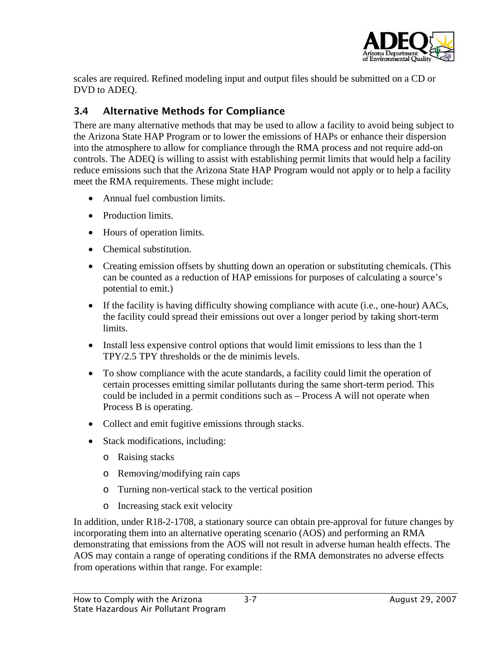![](_page_27_Picture_0.jpeg)

<span id="page-27-0"></span>scales are required. Refined modeling input and output files should be submitted on a CD or DVD to ADEQ.

#### <span id="page-27-1"></span>3.4 Alternative Methods for Compliance

There are many alternative methods that may be used to allow a facility to avoid being subject to the Arizona State HAP Program or to lower the emissions of HAPs or enhance their dispersion into the atmosphere to allow for compliance through the RMA process and not require add-on controls. The ADEQ is willing to assist with establishing permit limits that would help a facility reduce emissions such that the Arizona State HAP Program would not apply or to help a facility meet the RMA requirements. These might include:

- Annual fuel combustion limits.
- Production limits.
- Hours of operation limits.
- Chemical substitution.
- Creating emission offsets by shutting down an operation or substituting chemicals. (This can be counted as a reduction of HAP emissions for purposes of calculating a source's potential to emit.)
- If the facility is having difficulty showing compliance with acute (i.e., one-hour) AACs, the facility could spread their emissions out over a longer period by taking short-term limits.
- Install less expensive control options that would limit emissions to less than the 1 TPY/2.5 TPY thresholds or the de minimis levels.
- To show compliance with the acute standards, a facility could limit the operation of certain processes emitting similar pollutants during the same short-term period. This could be included in a permit conditions such as – Process A will not operate when Process B is operating.
- Collect and emit fugitive emissions through stacks.
- Stack modifications, including:
	- o Raising stacks
	- o Removing/modifying rain caps
	- o Turning non-vertical stack to the vertical position
	- o Increasing stack exit velocity

In addition, under R18-2-1708, a stationary source can obtain pre-approval for future changes by incorporating them into an alternative operating scenario (AOS) and performing an RMA demonstrating that emissions from the AOS will not result in adverse human health effects. The AOS may contain a range of operating conditions if the RMA demonstrates no adverse effects from operations within that range. For example: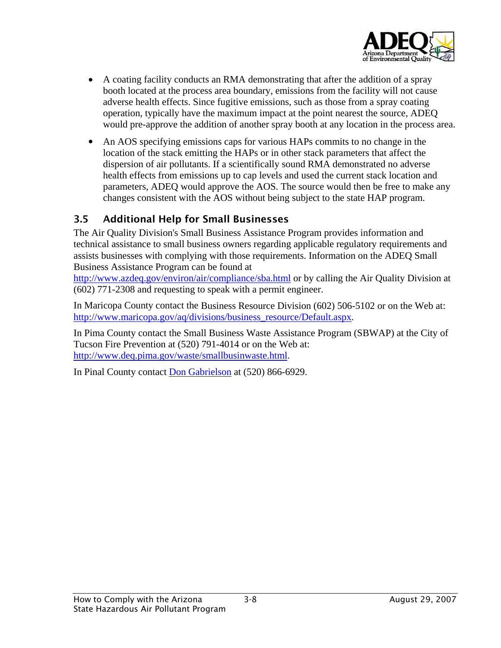![](_page_28_Picture_0.jpeg)

- <span id="page-28-0"></span>• A coating facility conducts an RMA demonstrating that after the addition of a spray booth located at the process area boundary, emissions from the facility will not cause adverse health effects. Since fugitive emissions, such as those from a spray coating operation, typically have the maximum impact at the point nearest the source, ADEQ would pre-approve the addition of another spray booth at any location in the process area.
- An AOS specifying emissions caps for various HAPs commits to no change in the location of the stack emitting the HAPs or in other stack parameters that affect the dispersion of air pollutants. If a scientifically sound RMA demonstrated no adverse health effects from emissions up to cap levels and used the current stack location and parameters, ADEQ would approve the AOS. The source would then be free to make any changes consistent with the AOS without being subject to the state HAP program.

#### 3.5 Additional Help for Small Businesses

The Air Quality Division's Small Business Assistance Program provides information and technical assistance to small business owners regarding applicable regulatory requirements and assists businesses with complying with those requirements. Information on the ADEQ Small Business Assistance Program can be found at

<http://www.azdeq.gov/environ/air/compliance/sba.html> or by calling the Air Quality Division at (602) 771-2308 and requesting to speak with a permit engineer.

In Maricopa County contact the Business Resource Division (602) 506-5102 or on the Web at: [http://www.maricopa.gov/aq/divisions/business\\_resource/Default.aspx.](http://www.maricopa.gov/aq/divisions/business_resource/Default.aspx)

In Pima County contact the Small Business Waste Assistance Program (SBWAP) at the City of Tucson Fire Prevention at (520) 791-4014 or on the Web at: <http://www.deq.pima.gov/waste/smallbusinwaste.html>.

In Pinal County contact [Don Gabrielson](mailto:don.gabrielson@co.pinal.az.us) at (520) 866-6929.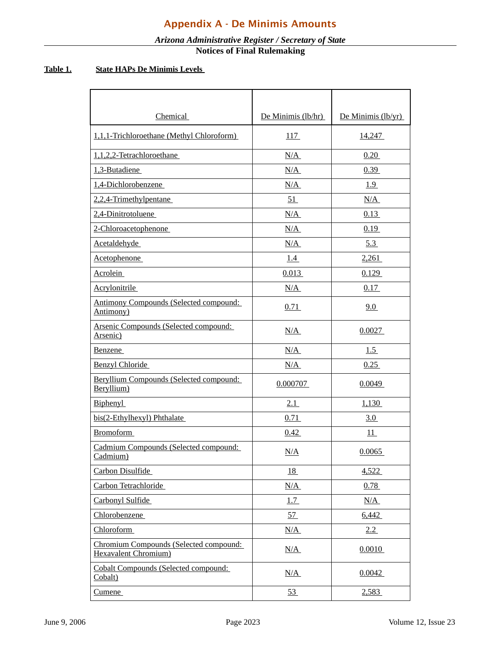#### *Arizona Administrative Register / Secretary of State* **Notices of Final Rulemaking**

#### <span id="page-29-0"></span>**Table 1. State HAPs De Minimis Levels**

| Chemical                                                       | De Minimis (lb/hr) | De Minimis (lb/yr) |
|----------------------------------------------------------------|--------------------|--------------------|
| 1,1,1-Trichloroethane (Methyl Chloroform)                      | 117                | 14,247             |
| 1,1,2,2-Tetrachloroethane                                      | N/A                | 0.20               |
| 1,3-Butadiene                                                  | N/A                | 0.39               |
| 1,4-Dichlorobenzene                                            | N/A                | 1.9                |
| 2,2,4-Trimethylpentane                                         | 51                 | N/A                |
| 2,4-Dinitrotoluene                                             | N/A                | 0.13               |
| 2-Chloroacetophenone                                           | N/A                | 0.19               |
| Acetaldehyde                                                   | N/A                | 5.3                |
| Acetophenone                                                   | 1.4                | 2,261              |
| Acrolein                                                       | 0.013              | 0.129              |
| Acrylonitrile                                                  | N/A                | 0.17               |
| <b>Antimony Compounds (Selected compound:</b><br>Antimony)     | 0.71               | 9.0                |
| Arsenic Compounds (Selected compound:<br>Arsenic)              | N/A                | 0.0027             |
| Benzene                                                        | N/A                | 1.5                |
| <b>Benzyl Chloride</b>                                         | N/A                | 0.25               |
| Beryllium Compounds (Selected compound:<br>Beryllium)          | 0.000707           | 0.0049             |
| <b>Biphenyl</b>                                                | 2.1                | 1,130              |
| bis(2-Ethylhexyl) Phthalate                                    | 0.71               | 3.0                |
| <b>Bromoform</b>                                               | 0.42               | 11                 |
| Cadmium Compounds (Selected compound:<br>Cadmium)              | N/A                | 0.0065             |
| Carbon Disulfide                                               | 18                 | 4,522              |
| Carbon Tetrachloride                                           | N/A                | 0.78               |
| Carbonyl Sulfide                                               | 1.7                | N/A                |
| Chlorobenzene                                                  | 57                 | 6,442              |
| Chloroform                                                     | N/A                | 2.2                |
| Chromium Compounds (Selected compound:<br>Hexavalent Chromium) | N/A                | 0.0010             |
| <b>Cobalt Compounds (Selected compound:</b><br>Cobalt)         | N/A                | 0.0042             |
| <u>Cumene</u>                                                  | 53                 | 2.583              |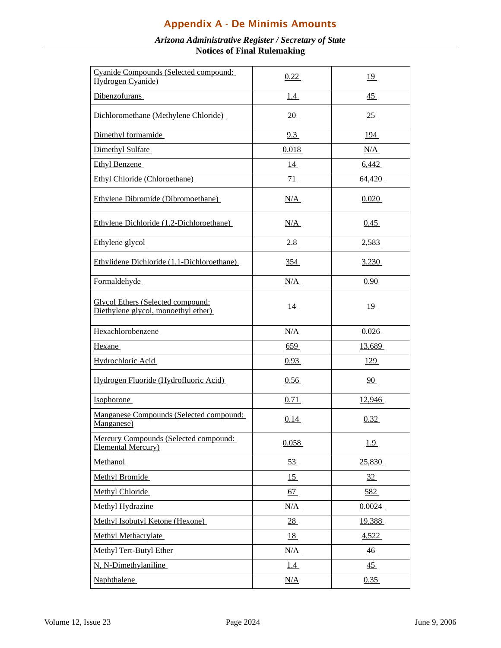### Appendix A - De Minimis Amounts

#### *Arizona Administrative Register / Secretary of State* **Notices of Final Rulemaking**

| Cyanide Compounds (Selected compound:<br>Hydrogen Cyanide)               | 0.22       | <u>19</u>      |
|--------------------------------------------------------------------------|------------|----------------|
| Dibenzofurans                                                            | 1.4        | $\frac{45}{1}$ |
| Dichloromethane (Methylene Chloride)                                     | 20         | 25             |
| Dimethyl formamide                                                       | 9.3        | 194            |
| Dimethyl Sulfate                                                         | 0.018      | N/A            |
| Ethyl Benzene                                                            | 14         | 6,442          |
| Ethyl Chloride (Chloroethane)                                            | 71         | 64,420         |
| Ethylene Dibromide (Dibromoethane)                                       | N/A        | 0.020          |
| Ethylene Dichloride (1,2-Dichloroethane)                                 | N/A        | 0.45           |
| Ethylene glycol                                                          | <u>2.8</u> | 2.583          |
| Ethylidene Dichloride (1,1-Dichloroethane)                               | 354        | 3,230          |
| Formaldehyde                                                             | N/A        | 0.90           |
| Glycol Ethers (Selected compound:<br>Diethylene glycol, monoethyl ether) | 14         | <u>19</u>      |
| Hexachlorobenzene                                                        | N/A        | 0.026          |
| Hexane                                                                   | 659        | 13,689         |
| Hydrochloric Acid                                                        | 0.93       | 129            |
| Hydrogen Fluoride (Hydrofluoric Acid)                                    | 0.56       | 90             |
| Isophorone                                                               | 0.71       | 12,946         |
| Manganese Compounds (Selected compound:<br>Manganese)                    | 0.14       | 0.32           |
| Mercury Compounds (Selected compound:<br><b>Elemental Mercury</b> )      | 0.058      | 1.9            |
| Methanol                                                                 | 53         | 25,830         |
| Methyl Bromide                                                           | 15         | 32             |
| Methyl Chloride                                                          | 67         | 582            |
| Methyl Hydrazine                                                         | N/A        | 0.0024         |
| Methyl Isobutyl Ketone (Hexone)                                          | 28         | 19,388         |
| Methyl Methacrylate                                                      | 18         | 4,522          |
| Methyl Tert-Butyl Ether                                                  | N/A        | $\frac{46}{5}$ |
| N, N-Dimethylaniline                                                     | <u>1.4</u> | 45             |
| Naphthalene                                                              | N/A        | 0.35           |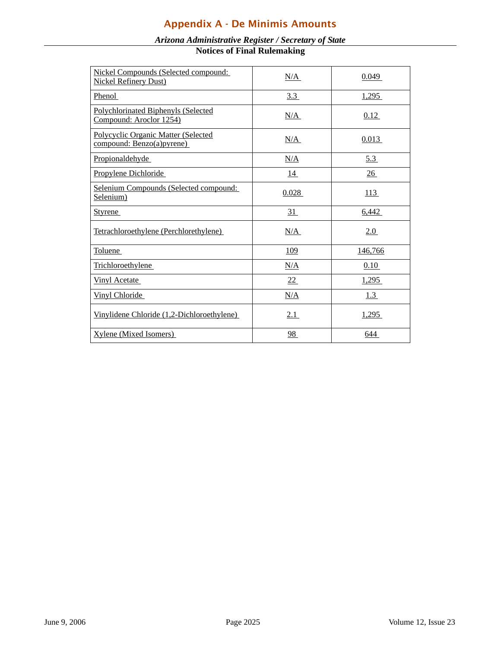### Appendix A - De Minimis Amounts

| Nickel Compounds (Selected compound:<br><b>Nickel Refinery Dust)</b>     | N/A       | 0.049      |
|--------------------------------------------------------------------------|-----------|------------|
| Phenol                                                                   | 3.3       | 1,295      |
| Polychlorinated Biphenyls (Selected<br>Compound: Aroclor 1254)           | N/A       | 0.12       |
| <b>Polycyclic Organic Matter (Selected</b><br>compound: Benzo(a) pyrene) | N/A       | 0.013      |
| Propionaldehyde                                                          | N/A       | 5.3        |
| Propylene Dichloride                                                     | <u>14</u> | 26         |
| Selenium Compounds (Selected compound:<br>Selenium)                      | 0.028     | 113        |
| <b>Styrene</b>                                                           | 31        | 6,442      |
| Tetrachloroethylene (Perchlorethylene)                                   | N/A       | 2.0        |
| <b>Toluene</b>                                                           | 109       | 146,766    |
| Trichloroethylene                                                        | N/A       | 0.10       |
| <b>Vinyl Acetate</b>                                                     | 22        | 1,295      |
| <b>Vinyl Chloride</b>                                                    | N/A       | <u>1.3</u> |
| Vinylidene Chloride (1,2-Dichloroethylene)                               | 2.1       | 1,295      |
| <b>Xylene</b> (Mixed Isomers)                                            | 98        | 644        |

#### *Arizona Administrative Register / Secretary of State* **Notices of Final Rulemaking**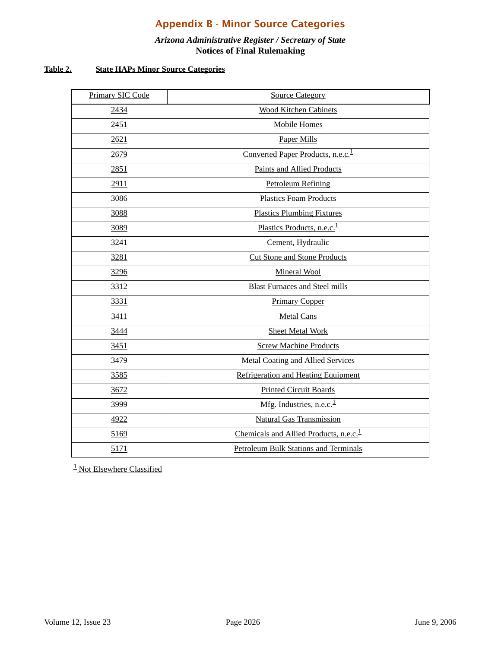#### *Arizona Administrative Register / Secretary of State* **Notices of Final Rulemaking**

#### <span id="page-32-0"></span>**Table 2. State HAPs Minor Source Categories**

| Primary SIC Code | <b>Source Category</b>                             |
|------------------|----------------------------------------------------|
| 2434             | <b>Wood Kitchen Cabinets</b>                       |
| 2451             | <b>Mobile Homes</b>                                |
| 2621             | <b>Paper Mills</b>                                 |
| 2679             | Converted Paper Products, n.e.c. <sup>1</sup>      |
| 2851             | <b>Paints and Allied Products</b>                  |
| 2911             | <b>Petroleum Refining</b>                          |
| 3086             | <b>Plastics Foam Products</b>                      |
| 3088             | <b>Plastics Plumbing Fixtures</b>                  |
| 3089             | Plastics Products, n.e.c. <sup>1</sup>             |
| 3241             | Cement, Hydraulic                                  |
| 3281             | <b>Cut Stone and Stone Products</b>                |
| 3296             | Mineral Wool                                       |
| 3312             | <b>Blast Furnaces and Steel mills</b>              |
| 3331             | <b>Primary Copper</b>                              |
| 3411             | <b>Metal Cans</b>                                  |
| 3444             | <b>Sheet Metal Work</b>                            |
| 3451             | <b>Screw Machine Products</b>                      |
| 3479             | <b>Metal Coating and Allied Services</b>           |
| 3585             | Refrigeration and Heating Equipment                |
| 3672             | <b>Printed Circuit Boards</b>                      |
| 3999             | Mfg. Industries, n.e.c. $1$                        |
| 4922             | <b>Natural Gas Transmission</b>                    |
| 5169             | Chemicals and Allied Products, n.e.c. <sup>1</sup> |
| 5171             | <b>Petroleum Bulk Stations and Terminals</b>       |

<sup>1</sup> Not Elsewhere Classified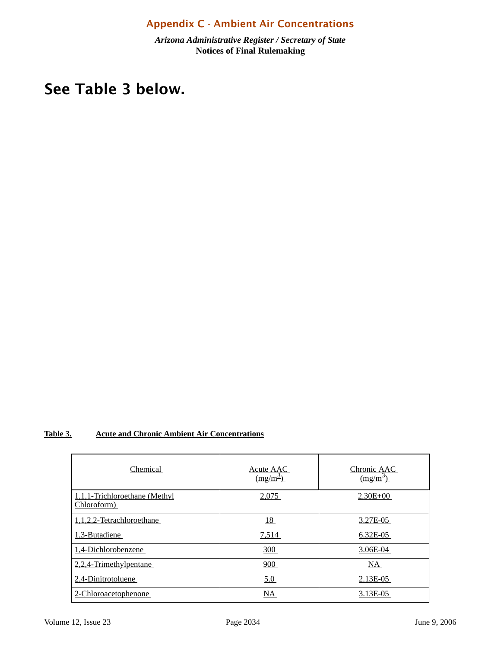#### <span id="page-33-0"></span>d. If the predicted maximum concentration is greater than or equal to the relevant ambient air concentration: See Table 3 below. $\sum_{i=1}^{n}$

#### **Table 3. Acute and Chronic Ambient Air Concentrations**

| Chemical                                     | Acute AAC<br>$\frac{(\text{mg/m}^3)}{}$ | Chronic AAC<br>$\frac{(\text{mg/m}^3)}{}$ |
|----------------------------------------------|-----------------------------------------|-------------------------------------------|
| 1,1,1-Trichloroethane (Methyl<br>Chloroform) | 2,075                                   | $2.30E + 00$                              |
| 1,1,2,2-Tetrachloroethane                    | <u>18</u>                               | 3.27E-05                                  |
| 1,3-Butadiene                                | 7,514                                   | $6.32E-05$                                |
| 1,4-Dichlorobenzene                          | 300                                     | 3.06E-04                                  |
| 2,2,4-Trimethylpentane                       | 900                                     | NA                                        |
| 2,4-Dinitrotoluene                           | 5.0                                     | 2.13E-05                                  |
| 2-Chloroacetophenone                         | NA.                                     | 3.13E-05                                  |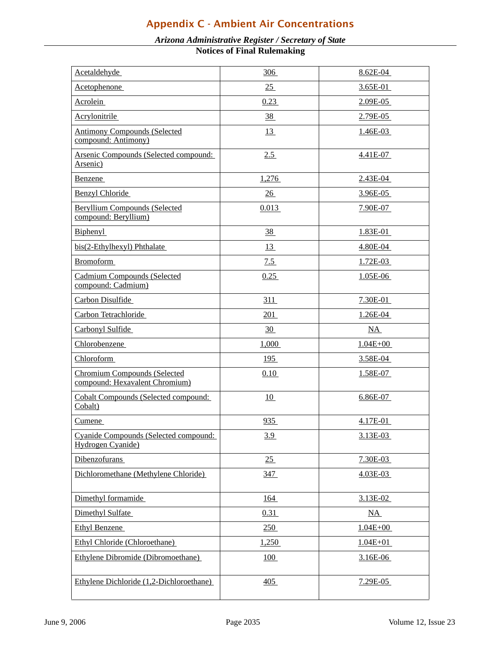### Appendix C - Ambient Air Concentrations

#### *Arizona Administrative Register / Secretary of State*

**Notices of Final Rulemaking**

| Acetaldehyde                                                          | <u>306</u> | 8.62E-04     |
|-----------------------------------------------------------------------|------------|--------------|
| Acetophenone                                                          | 25         | 3.65E-01     |
| <b>Acrolein</b>                                                       | 0.23       | 2.09E-05     |
| Acrylonitrile                                                         | 38         | 2.79E-05     |
| <b>Antimony Compounds (Selected</b><br>compound: Antimony)            | 13         | 1.46E-03     |
| Arsenic Compounds (Selected compound:<br>Arsenic)                     | 2.5        | 4.41E-07     |
| <b>Benzene</b>                                                        | 1,276      | 2.43E-04     |
| <b>Benzyl Chloride</b>                                                | 26         | 3.96E-05     |
| <b>Beryllium Compounds (Selected</b><br>compound: Beryllium)          | 0.013      | 7.90E-07     |
| Biphenyl                                                              | 38         | 1.83E-01     |
| bis(2-Ethylhexyl) Phthalate                                           | 13         | 4.80E-04     |
| <b>Bromoform</b>                                                      | 7.5        | 1.72E-03     |
| <b>Cadmium Compounds (Selected</b><br>compound: Cadmium)              | 0.25       | 1.05E-06     |
| Carbon Disulfide                                                      | 311        | 7.30E-01     |
| Carbon Tetrachloride                                                  | 201        | $1.26E-04$   |
| Carbonyl Sulfide                                                      | 30         | NA           |
| Chlorobenzene                                                         | 1,000      | $1.04E + 00$ |
| <b>Chloroform</b>                                                     | 195        | 3.58E-04     |
| <b>Chromium Compounds (Selected</b><br>compound: Hexavalent Chromium) | 0.10       | 1.58E-07     |
| <b>Cobalt Compounds (Selected compound:</b><br>Cobalt)                | 10         | 6.86E-07     |
| Cumene                                                                | 935        | 4.17E-01     |
| Cyanide Compounds (Selected compound:<br>Hydrogen Cyanide)            | <u>3.9</u> | 3.13E-03     |
| Dibenzofurans                                                         | 25         | 7.30E-03     |
| Dichloromethane (Methylene Chloride)                                  | <u>347</u> | $4.03E-03$   |
| Dimethyl formamide                                                    | 164        | 3.13E-02     |
| Dimethyl Sulfate                                                      | 0.31       | NA           |
| <b>Ethyl Benzene</b>                                                  | 250        | $1.04E + 00$ |
| Ethyl Chloride (Chloroethane)                                         | 1,250      | $1.04E + 01$ |
| Ethylene Dibromide (Dibromoethane)                                    | <u>100</u> | $3.16E-06$   |
| Ethylene Dichloride (1,2-Dichloroethane)                              | 405        | 7.29E-05     |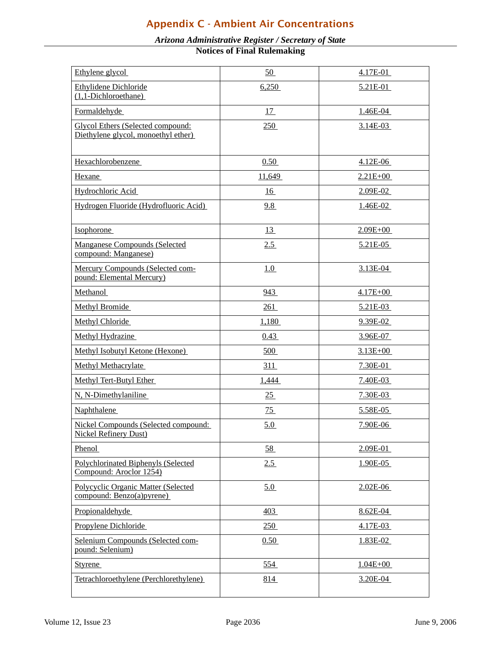### Appendix C - Ambient Air Concentrations

#### *Arizona Administrative Register / Secretary of State*

**Notices of Final Rulemaking**

| Ethylene glycol                                                          | 50              | 4.17E-01        |
|--------------------------------------------------------------------------|-----------------|-----------------|
| Ethylidene Dichloride<br>$(1,1-Dichloroethane)$                          | 6,250           | 5.21E-01        |
| Formaldehyde                                                             | 17              | 1.46E-04        |
| Glycol Ethers (Selected compound:<br>Diethylene glycol, monoethyl ether) | 250             | $3.14E-03$      |
| Hexachlorobenzene                                                        | 0.50            | 4.12E-06        |
| Hexane                                                                   | 11,649          | $2.21E + 00$    |
| Hydrochloric Acid                                                        | <u>16</u>       | 2.09E-02        |
| Hydrogen Fluoride (Hydrofluoric Acid)                                    | 9.8             | <u>1.46E-02</u> |
| Isophorone                                                               | 13              | $2.09E + 00$    |
| <b>Manganese Compounds (Selected</b><br>compound: Manganese)             | 2.5             | $5.21E-05$      |
| Mercury Compounds (Selected com-<br>pound: Elemental Mercury)            | 1.0             | 3.13E-04        |
| Methanol                                                                 | 943             | $4.17E + 00$    |
| <b>Methyl Bromide</b>                                                    | 261             | 5.21E-03        |
| Methyl Chloride                                                          | 1,180           | 9.39E-02        |
| Methyl Hydrazine                                                         | 0.43            | 3.96E-07        |
| Methyl Isobutyl Ketone (Hexone)                                          | 500             | $3.13E + 00$    |
| <b>Methyl Methacrylate</b>                                               | 311             | 7.30E-01        |
| Methyl Tert-Butyl Ether                                                  | 1,444           | 7.40E-03        |
| N, N-Dimethylaniline                                                     | 25              | 7.30E-03        |
| Naphthalene                                                              | $\overline{25}$ | 5.58E-05        |
| Nickel Compounds (Selected compound:<br><b>Nickel Refinery Dust)</b>     | 5.0             | 7.90E-06        |
| Phenol                                                                   | 58              | 2.09E-01        |
| Polychlorinated Biphenyls (Selected<br>Compound: Aroclor 1254)           | 2.5             | 1.90E-05        |
| Polycyclic Organic Matter (Selected<br>compound: Benzo(a)pyrene)         | 5.0             | 2.02E-06        |
| Propionaldehyde                                                          | 403             | 8.62E-04        |
| Propylene Dichloride                                                     | 250             | 4.17E-03        |
| Selenium Compounds (Selected com-<br>pound: Selenium)                    | 0.50            | 1.83E-02        |
| <b>Styrene</b>                                                           | 554             | $1.04E + 00$    |
| Tetrachloroethylene (Perchlorethylene)                                   | 814             | 3.20E-04        |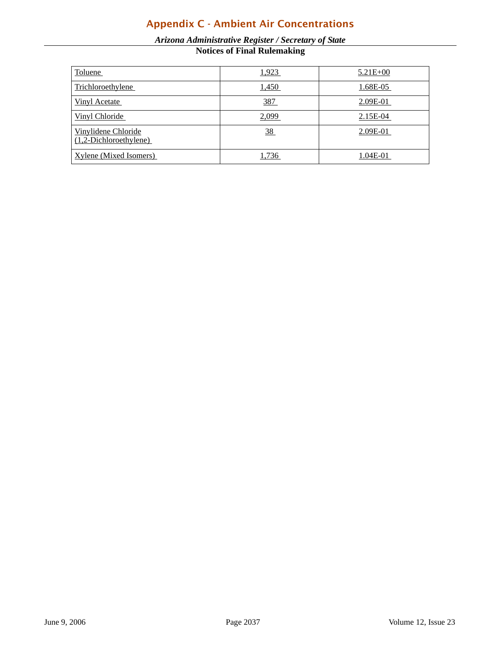### Appendix C - Ambient Air Concentrations

#### *Arizona Administrative Register / Secretary of State* **Notices of Final Rulemaking**

| Toluene                                         | 1,923      | $5.21E + 00$ |
|-------------------------------------------------|------------|--------------|
| Trichloroethylene                               | 1,450      | 1.68E-05     |
| <b>Vinyl Acetate</b>                            | <u>387</u> | 2.09E-01     |
| Vinyl Chloride                                  | 2,099      | 2.15E-04     |
| Vinylidene Chloride<br>$(1,2-Dichloroethylene)$ | 38         | 2.09E-01     |
| <b>Xylene</b> (Mixed Isomers)                   | 1,736      | 1.04E-01     |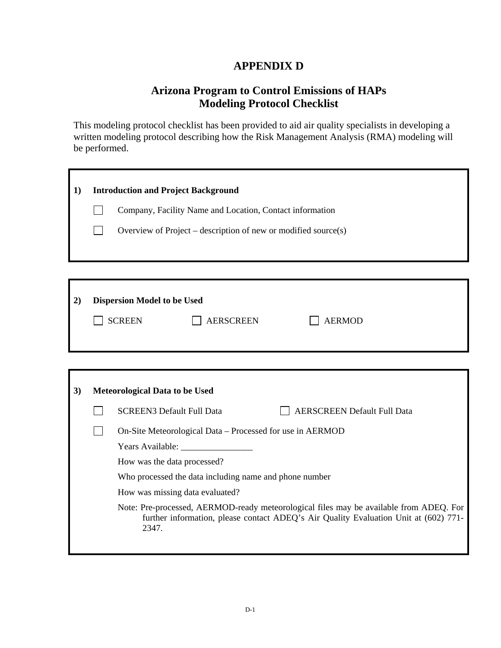#### **APPENDIX D**

#### **Arizona Program to Control Emissions of HAPs Modeling Protocol Checklist**

<span id="page-37-0"></span>This modeling protocol checklist has been provided to aid air quality specialists in developing a written modeling protocol describing how the Risk Management Analysis (RMA) modeling will be performed.

| 1) |                                                        | <b>Introduction and Project Background</b>                                                                                                                                              |  |  |  |
|----|--------------------------------------------------------|-----------------------------------------------------------------------------------------------------------------------------------------------------------------------------------------|--|--|--|
|    |                                                        | Company, Facility Name and Location, Contact information                                                                                                                                |  |  |  |
|    |                                                        | Overview of Project – description of new or modified source(s)                                                                                                                          |  |  |  |
|    |                                                        |                                                                                                                                                                                         |  |  |  |
|    |                                                        |                                                                                                                                                                                         |  |  |  |
|    |                                                        |                                                                                                                                                                                         |  |  |  |
| 2) |                                                        | <b>Dispersion Model to be Used</b>                                                                                                                                                      |  |  |  |
|    |                                                        | <b>SCREEN</b><br><b>AERSCREEN</b><br><b>AERMOD</b>                                                                                                                                      |  |  |  |
|    |                                                        |                                                                                                                                                                                         |  |  |  |
|    |                                                        |                                                                                                                                                                                         |  |  |  |
|    |                                                        |                                                                                                                                                                                         |  |  |  |
| 3) |                                                        | Meteorological Data to be Used                                                                                                                                                          |  |  |  |
|    |                                                        | <b>SCREEN3 Default Full Data</b><br><b>AERSCREEN Default Full Data</b>                                                                                                                  |  |  |  |
|    |                                                        | On-Site Meteorological Data - Processed for use in AERMOD                                                                                                                               |  |  |  |
|    |                                                        |                                                                                                                                                                                         |  |  |  |
|    | How was the data processed?                            |                                                                                                                                                                                         |  |  |  |
|    | Who processed the data including name and phone number |                                                                                                                                                                                         |  |  |  |
|    | How was missing data evaluated?                        |                                                                                                                                                                                         |  |  |  |
|    |                                                        | Note: Pre-processed, AERMOD-ready meteorological files may be available from ADEQ. For<br>further information, please contact ADEQ's Air Quality Evaluation Unit at (602) 771-<br>2347. |  |  |  |
|    |                                                        |                                                                                                                                                                                         |  |  |  |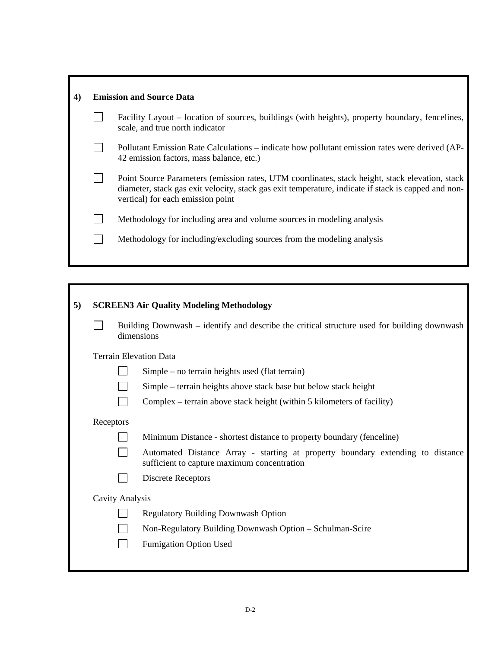| 4) | <b>Emission and Source Data</b> |                                                                                                                                                                                                                                            |  |  |  |  |
|----|---------------------------------|--------------------------------------------------------------------------------------------------------------------------------------------------------------------------------------------------------------------------------------------|--|--|--|--|
|    |                                 | Facility Layout – location of sources, buildings (with heights), property boundary, fencelines,<br>scale, and true north indicator                                                                                                         |  |  |  |  |
|    |                                 | Pollutant Emission Rate Calculations – indicate how pollutant emission rates were derived (AP-<br>42 emission factors, mass balance, etc.)                                                                                                 |  |  |  |  |
|    |                                 | Point Source Parameters (emission rates, UTM coordinates, stack height, stack elevation, stack<br>diameter, stack gas exit velocity, stack gas exit temperature, indicate if stack is capped and non-<br>vertical) for each emission point |  |  |  |  |
|    |                                 | Methodology for including area and volume sources in modeling analysis                                                                                                                                                                     |  |  |  |  |
|    |                                 | Methodology for including/excluding sources from the modeling analysis                                                                                                                                                                     |  |  |  |  |
|    |                                 |                                                                                                                                                                                                                                            |  |  |  |  |

r

| 5) |                                                                        | <b>SCREEN3 Air Quality Modeling Methodology</b>                                                                               |                                            |  |  |  |  |
|----|------------------------------------------------------------------------|-------------------------------------------------------------------------------------------------------------------------------|--------------------------------------------|--|--|--|--|
|    |                                                                        | Building Downwash – identify and describe the critical structure used for building downwash<br>dimensions                     |                                            |  |  |  |  |
|    |                                                                        |                                                                                                                               | <b>Terrain Elevation Data</b>              |  |  |  |  |
|    |                                                                        | $Simple - no$ terrain heights used (flat terrain)                                                                             |                                            |  |  |  |  |
|    | Simple – terrain heights above stack base but below stack height       |                                                                                                                               |                                            |  |  |  |  |
|    | Complex – terrain above stack height (within 5 kilometers of facility) |                                                                                                                               |                                            |  |  |  |  |
|    |                                                                        | Receptors                                                                                                                     |                                            |  |  |  |  |
|    |                                                                        | Minimum Distance - shortest distance to property boundary (fenceline)                                                         |                                            |  |  |  |  |
|    |                                                                        | Automated Distance Array - starting at property boundary extending to distance<br>sufficient to capture maximum concentration |                                            |  |  |  |  |
|    | Discrete Receptors                                                     |                                                                                                                               |                                            |  |  |  |  |
|    | <b>Cavity Analysis</b>                                                 |                                                                                                                               |                                            |  |  |  |  |
|    |                                                                        |                                                                                                                               | <b>Regulatory Building Downwash Option</b> |  |  |  |  |
|    | Non-Regulatory Building Downwash Option - Schulman-Scire               |                                                                                                                               |                                            |  |  |  |  |
|    |                                                                        |                                                                                                                               | <b>Fumigation Option Used</b>              |  |  |  |  |
|    |                                                                        |                                                                                                                               |                                            |  |  |  |  |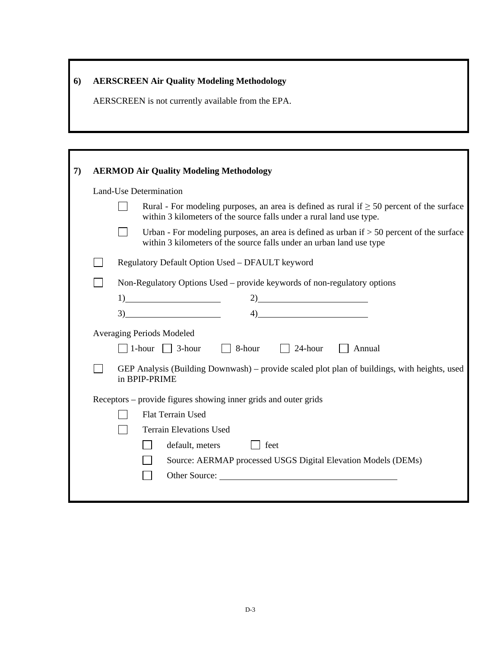### **6) AERSCREEN Air Quality Modeling Methodology**

AERSCREEN is not currently available from the EPA.

| 7) |                                  | <b>AERMOD Air Quality Modeling Methodology</b>                                                                                                                         |  |  |  |  |  |
|----|----------------------------------|------------------------------------------------------------------------------------------------------------------------------------------------------------------------|--|--|--|--|--|
|    |                                  | Land-Use Determination                                                                                                                                                 |  |  |  |  |  |
|    |                                  | Rural - For modeling purposes, an area is defined as rural if $\geq$ 50 percent of the surface<br>within 3 kilometers of the source falls under a rural land use type. |  |  |  |  |  |
|    |                                  | Urban - For modeling purposes, an area is defined as urban if $> 50$ percent of the surface<br>within 3 kilometers of the source falls under an urban land use type    |  |  |  |  |  |
|    |                                  | Regulatory Default Option Used - DFAULT keyword                                                                                                                        |  |  |  |  |  |
|    |                                  | Non-Regulatory Options Used – provide keywords of non-regulatory options                                                                                               |  |  |  |  |  |
|    |                                  | $1)$ 2)                                                                                                                                                                |  |  |  |  |  |
|    |                                  | $\frac{3}{2}$ $\frac{4}{2}$ $\frac{4}{2}$                                                                                                                              |  |  |  |  |  |
|    | <b>Averaging Periods Modeled</b> |                                                                                                                                                                        |  |  |  |  |  |
|    |                                  | $\Box$ 1-hour $\Box$ 3-hour $\Box$ 8-hour $\Box$ 24-hour $\Box$ Annual                                                                                                 |  |  |  |  |  |
|    |                                  | GEP Analysis (Building Downwash) – provide scaled plot plan of buildings, with heights, used<br>in BPIP-PRIME                                                          |  |  |  |  |  |
|    |                                  | Receptors – provide figures showing inner grids and outer grids                                                                                                        |  |  |  |  |  |
|    | <b>Flat Terrain Used</b>         |                                                                                                                                                                        |  |  |  |  |  |
|    |                                  | <b>Terrain Elevations Used</b>                                                                                                                                         |  |  |  |  |  |
|    |                                  | default, meters<br>  feet                                                                                                                                              |  |  |  |  |  |
|    |                                  | Source: AERMAP processed USGS Digital Elevation Models (DEMs)                                                                                                          |  |  |  |  |  |
|    |                                  |                                                                                                                                                                        |  |  |  |  |  |
|    |                                  |                                                                                                                                                                        |  |  |  |  |  |